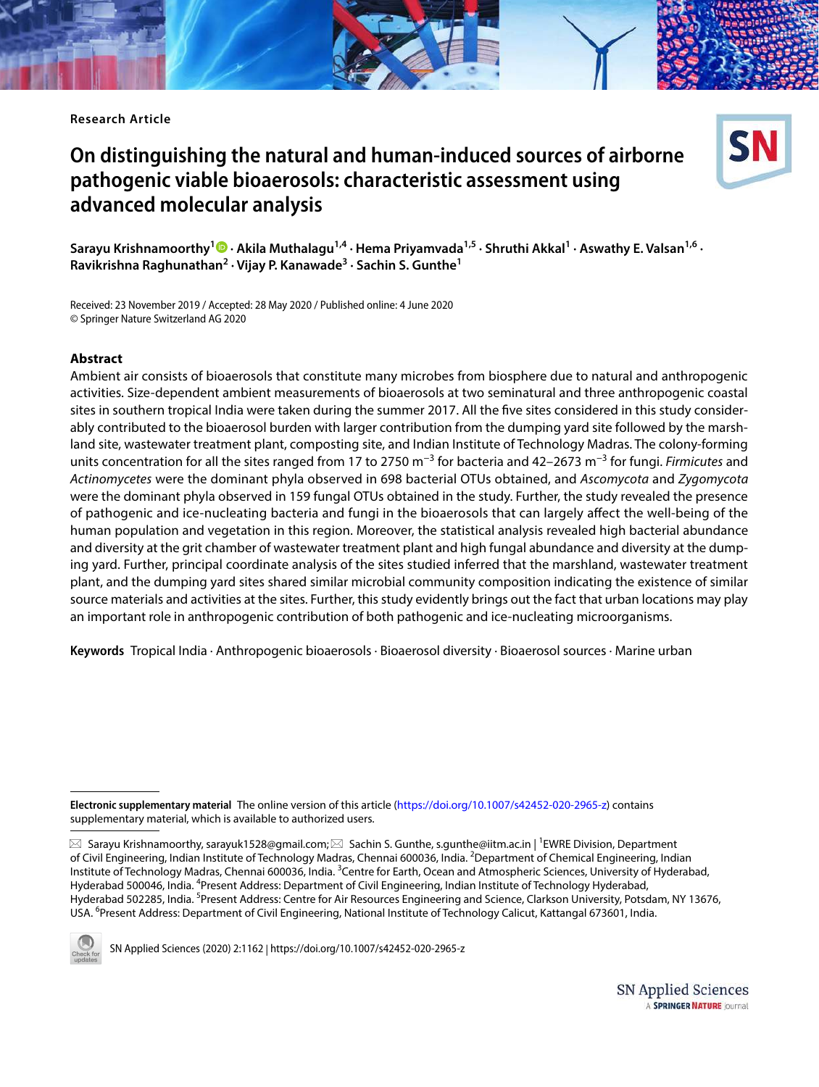**Research Article**

# **On distinguishing the natural and human‑induced sources of airborne pathogenic viable bioaerosols: characteristic assessment using advanced molecular analysis**



**Sarayu Krishnamoorthy<sup>1</sup>  [·](http://orcid.org/0000-0001-6831-5509) Akila Muthalagu1,4 · Hema Priyamvada1,5 · Shruthi Akkal<sup>1</sup> · Aswathy E. Valsan1,6 · Ravikrishna Raghunathan<sup>2</sup> · Vijay P. Kanawade<sup>3</sup> · Sachin S. Gunthe<sup>1</sup>**

Received: 23 November 2019 / Accepted: 28 May 2020 / Published online: 4 June 2020 © Springer Nature Switzerland AG 2020

#### **Abstract**

Ambient air consists of bioaerosols that constitute many microbes from biosphere due to natural and anthropogenic activities. Size-dependent ambient measurements of bioaerosols at two seminatural and three anthropogenic coastal sites in southern tropical India were taken during the summer 2017. All the five sites considered in this study considerably contributed to the bioaerosol burden with larger contribution from the dumping yard site followed by the marshland site, wastewater treatment plant, composting site, and Indian Institute of Technology Madras. The colony-forming units concentration for all the sites ranged from 17 to 2750 m<sup>-3</sup> for bacteria and 42–2673 m<sup>-3</sup> for fungi. Firmicutes and Actinomycetes were the dominant phyla observed in 698 bacterial OTUs obtained, and Ascomycota and Zygomycota were the dominant phyla observed in 159 fungal OTUs obtained in the study. Further, the study revealed the presence of pathogenic and ice-nucleating bacteria and fungi in the bioaerosols that can largely affect the well-being of the human population and vegetation in this region. Moreover, the statistical analysis revealed high bacterial abundance and diversity at the grit chamber of wastewater treatment plant and high fungal abundance and diversity at the dumping yard. Further, principal coordinate analysis of the sites studied inferred that the marshland, wastewater treatment plant, and the dumping yard sites shared similar microbial community composition indicating the existence of similar source materials and activities at the sites. Further, this study evidently brings out the fact that urban locations may play an important role in anthropogenic contribution of both pathogenic and ice-nucleating microorganisms.

**Keywords** Tropical India · Anthropogenic bioaerosols · Bioaerosol diversity · Bioaerosol sources · Marine urban

 $\boxtimes$  Sarayu Krishnamoorthy, sarayuk1528@gmail.com; $\boxtimes$  Sachin S. Gunthe, s.gunthe@iitm.ac.in | <sup>1</sup>EWRE Division, Department of Civil Engineering, Indian Institute of Technology Madras, Chennai 600036, India. <sup>2</sup>Department of Chemical Engineering, Indian Institute of Technology Madras, Chennai 600036, India. <sup>3</sup>Centre for Earth, Ocean and Atmospheric Sciences, University of Hyderabad, Hyderabad 500046, India. <sup>4</sup>Present Address: Department of Civil Engineering, Indian Institute of Technology Hyderabad, Hyderabad 502285, India. <sup>5</sup>Present Address: Centre for Air Resources Engineering and Science, Clarkson University, Potsdam, NY 13676, USA. <sup>6</sup> Present Address: Department of Civil Engineering, National Institute of Technology Calicut, Kattangal 673601, India.



SN Applied Sciences (2020) 2:1162 | https://doi.org/10.1007/s42452-020-2965-z

Electronic supplementary material The online version of this article (https://doi.org/10.1007/s42452-020-2965-z) contains supplementary material, which is available to authorized users.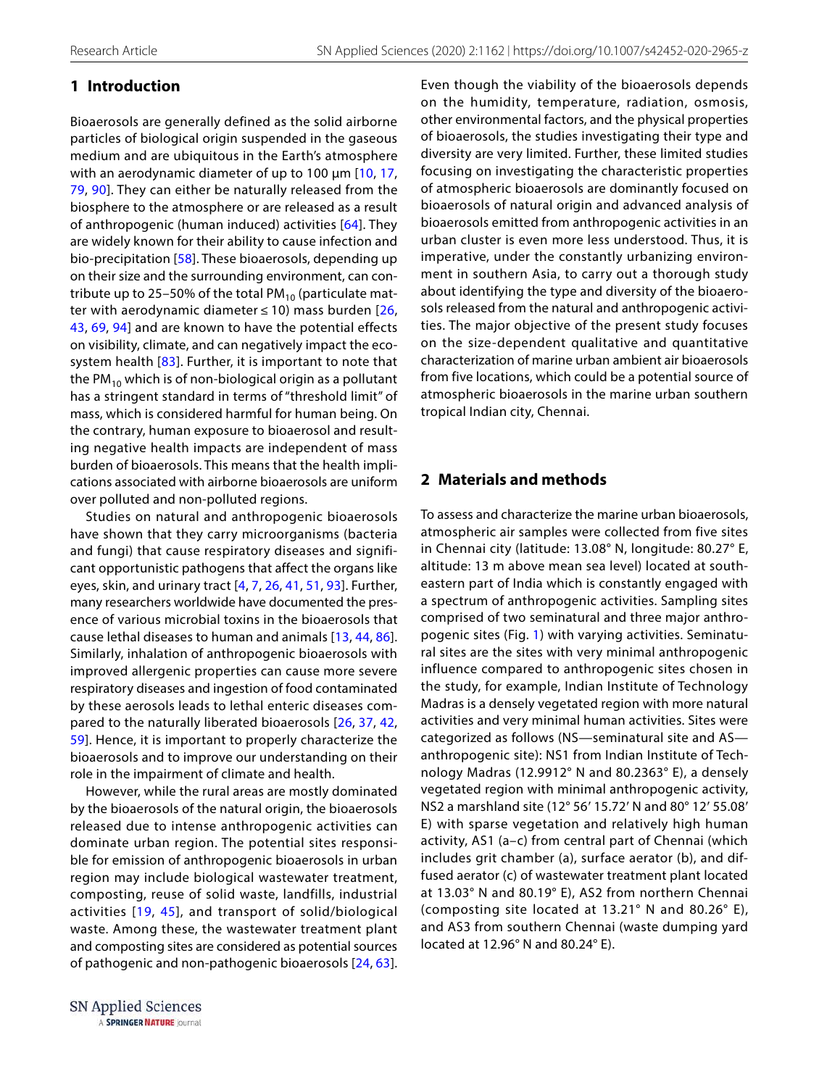# **1 Introduction**

Bioaerosols are generally defined as the solid airborne particles of biological origin suspended in the gaseous medium and are ubiquitous in the Earth's atmosphere with an aerodynamic diameter of up to 100  $\mu$ m [[10,](#page-13-0) [17](#page-13-1), [79,](#page-15-0) [90\]](#page-15-1). They can either be naturally released from the biosphere to the atmosphere or are released as a result of anthropogenic (human induced) activities [\[64\]](#page-15-2). They are widely known for their ability to cause infection and bio-precipitation [\[58\]](#page-14-0). These bioaerosols, depending up on their size and the surrounding environment, can contribute up to 25–50% of the total  $PM_{10}$  (particulate matter with aerodynamic diameter  $\leq$  10) mass burden [\[26](#page-13-2), [43,](#page-14-1) [69](#page-15-3), [94\]](#page-15-4) and are known to have the potential effects on visibility, climate, and can negatively impact the ecosystem health [\[83](#page-15-5)]. Further, it is important to note that the PM<sub>10</sub> which is of non-biological origin as a pollutant has a stringent standard in terms of "threshold limit" of mass, which is considered harmful for human being. On the contrary, human exposure to bioaerosol and resulting negative health impacts are independent of mass burden of bioaerosols. This means that the health implications associated with airborne bioaerosols are uniform over polluted and non-polluted regions.

Studies on natural and anthropogenic bioaerosols have shown that they carry microorganisms (bacteria and fungi) that cause respiratory diseases and significant opportunistic pathogens that affect the organs like eyes, skin, and urinary tract [\[4,](#page-13-3) [7](#page-13-4), [26](#page-13-2), [41](#page-14-2), [51](#page-14-3), [93](#page-15-6)]. Further, many researchers worldwide have documented the presence of various microbial toxins in the bioaerosols that cause lethal diseases to human and animals [[13](#page-13-5), [44](#page-14-4), [86](#page-15-7)]. Similarly, inhalation of anthropogenic bioaerosols with improved allergenic properties can cause more severe respiratory diseases and ingestion of food contaminated by these aerosols leads to lethal enteric diseases compared to the naturally liberated bioaerosols [[26](#page-13-2), [37,](#page-14-5) [42](#page-14-6), [59\]](#page-14-7). Hence, it is important to properly characterize the bioaerosols and to improve our understanding on their role in the impairment of climate and health.

However, while the rural areas are mostly dominated by the bioaerosols of the natural origin, the bioaerosols released due to intense anthropogenic activities can dominate urban region. The potential sites responsible for emission of anthropogenic bioaerosols in urban region may include biological wastewater treatment, composting, reuse of solid waste, landfills, industrial activities [[19,](#page-13-6) [45\]](#page-14-8), and transport of solid/biological waste. Among these, the wastewater treatment plant and composting sites are considered as potential sources of pathogenic and non-pathogenic bioaerosols [[24](#page-13-7), [63](#page-15-8)].

SN Applied Sciences A SPRINGER NATURE journal Even though the viability of the bioaerosols depends on the humidity, temperature, radiation, osmosis, other environmental factors, and the physical properties of bioaerosols, the studies investigating their type and diversity are very limited. Further, these limited studies focusing on investigating the characteristic properties of atmospheric bioaerosols are dominantly focused on bioaerosols of natural origin and advanced analysis of bioaerosols emitted from anthropogenic activities in an urban cluster is even more less understood. Thus, it is imperative, under the constantly urbanizing environment in southern Asia, to carry out a thorough study about identifying the type and diversity of the bioaerosols released from the natural and anthropogenic activities. The major objective of the present study focuses on the size-dependent qualitative and quantitative characterization of marine urban ambient air bioaerosols from five locations, which could be a potential source of atmospheric bioaerosols in the marine urban southern tropical Indian city, Chennai.

# **2 Materials and methods**

To assess and characterize the marine urban bioaerosols, atmospheric air samples were collected from five sites in Chennai city (latitude: 13.08° N, longitude: 80.27° E, altitude: 13 m above mean sea level) located at southeastern part of India which is constantly engaged with a spectrum of anthropogenic activities. Sampling sites comprised of two seminatural and three major anthropogenic sites (Fig. [1\)](#page-2-0) with varying activities. Seminatural sites are the sites with very minimal anthropogenic influence compared to anthropogenic sites chosen in the study, for example, Indian Institute of Technology Madras is a densely vegetated region with more natural activities and very minimal human activities. Sites were categorized as follows (NS—seminatural site and AS anthropogenic site): NS1 from Indian Institute of Technology Madras (12.9912° N and 80.2363° E), a densely vegetated region with minimal anthropogenic activity, NS2 a marshland site (12° 56′ 15.72′ N and 80° 12′ 55.08′ E) with sparse vegetation and relatively high human activity, AS1 (a–c) from central part of Chennai (which includes grit chamber (a), surface aerator (b), and diffused aerator (c) of wastewater treatment plant located at 13.03° N and 80.19° E), AS2 from northern Chennai (composting site located at 13.21° N and 80.26° E), and AS3 from southern Chennai (waste dumping yard located at 12.96° N and 80.24° E).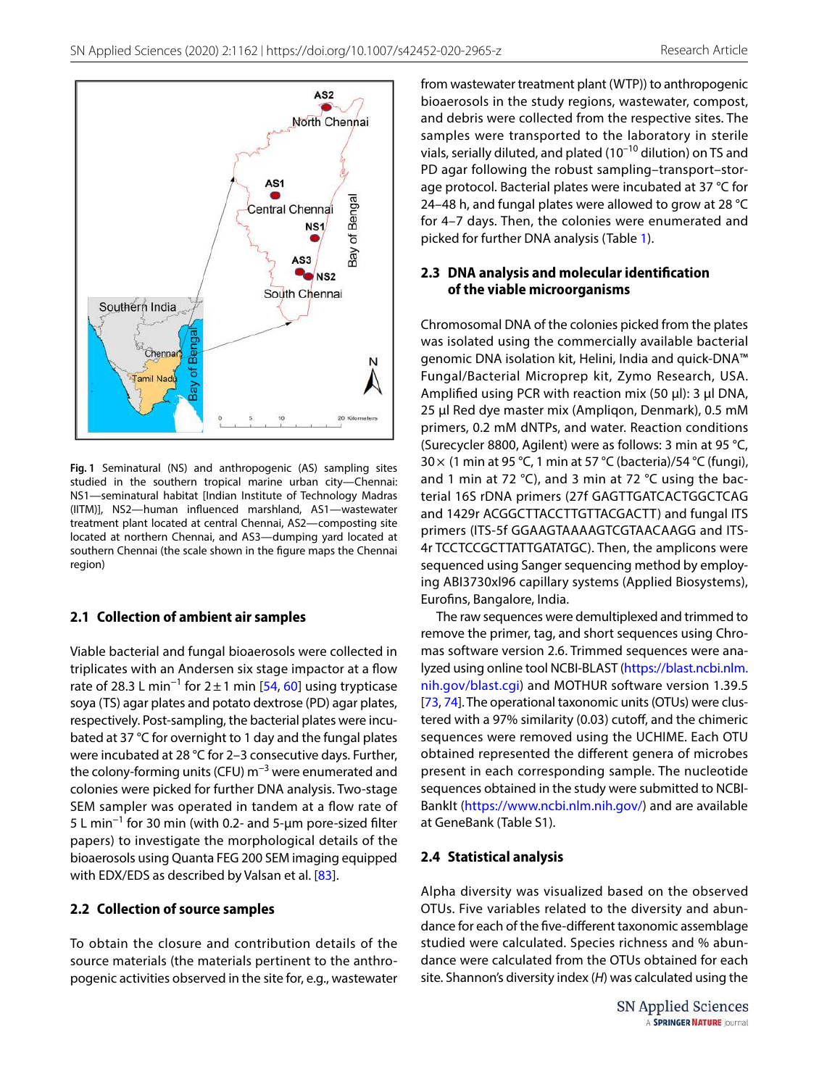

<span id="page-2-0"></span>**Fig. 1** Seminatural (NS) and anthropogenic (AS) sampling sites studied in the southern tropical marine urban city—Chennai: NS1—seminatural habitat [Indian Institute of Technology Madras (IITM)], NS2—human influenced marshland, AS1—wastewater treatment plant located at central Chennai, AS2—composting site located at northern Chennai, and AS3—dumping yard located at southern Chennai (the scale shown in the figure maps the Chennai region)

## **2.1 Collection of ambient air samples**

Viable bacterial and fungal bioaerosols were collected in triplicates with an Andersen six stage impactor at a flow rate of 28.3 L min<sup>-1</sup> for 2 ± 1 min [[54,](#page-14-9) [60\]](#page-14-10) using trypticase soya (TS) agar plates and potato dextrose (PD) agar plates, respectively. Post-sampling, the bacterial plates were incubated at 37 °C for overnight to 1 day and the fungal plates were incubated at 28 °C for 2–3 consecutive days. Further, the colony-forming units (CFU) m<sup>-3</sup> were enumerated and colonies were picked for further DNA analysis. Two-stage SEM sampler was operated in tandem at a flow rate of 5 L min−1 for 30 min (with 0.2- and 5-µm pore-sized filter papers) to investigate the morphological details of the bioaerosols using Quanta FEG 200 SEM imaging equipped with EDX/EDS as described by Valsan et al. [\[83\]](#page-15-5).

## **2.2 Collection of source samples**

To obtain the closure and contribution details of the source materials (the materials pertinent to the anthropogenic activities observed in the site for, e.g., wastewater from wastewater treatment plant (WTP)) to anthropogenic bioaerosols in the study regions, wastewater, compost, and debris were collected from the respective sites. The samples were transported to the laboratory in sterile vials, serially diluted, and plated (10–10 dilution) on TS and PD agar following the robust sampling–transport–storage protocol. Bacterial plates were incubated at 37 °C for 24–48 h, and fungal plates were allowed to grow at 28 °C for 4–7 days. Then, the colonies were enumerated and picked for further DNA analysis (Table [1\)](#page-3-0).

## **2.3 DNA analysis and molecular identification of the viable microorganisms**

Chromosomal DNA of the colonies picked from the plates was isolated using the commercially available bacterial genomic DNA isolation kit, Helini, India and quick-DNA™ Fungal/Bacterial Microprep kit, Zymo Research, USA. Amplified using PCR with reaction mix (50 µl): 3 µl DNA, 25 µl Red dye master mix (Ampliqon, Denmark), 0.5 mM primers, 0.2 mM dNTPs, and water. Reaction conditions (Surecycler 8800, Agilent) were as follows: 3 min at 95 °C, 30 × (1 min at 95 °C, 1 min at 57 °C (bacteria)/54 °C (fungi), and 1 min at 72 °C), and 3 min at 72 °C using the bacterial 16S rDNA primers (27f GAGTTGATCACTGGCTCAG and 1429r ACGGCTTACCTTGTTACGACTT) and fungal ITS primers (ITS-5f GGAAGTAAAAGTCGTAACAAGG and ITS-4r TCCTCCGCTTATTGATATGC). Then, the amplicons were sequenced using Sanger sequencing method by employing ABI3730xl96 capillary systems (Applied Biosystems), Eurofins, Bangalore, India.

The raw sequences were demultiplexed and trimmed to remove the primer, tag, and short sequences using Chromas software version 2.6. Trimmed sequences were analyzed using online tool NCBI-BLAST (https://blast.ncbi.nlm. nih.gov/blast.cgi) and MOTHUR software version 1.39.5 [[73](#page-15-9), [74](#page-15-10)]. The operational taxonomic units (OTUs) were clustered with a 97% similarity (0.03) cutoff, and the chimeric sequences were removed using the UCHIME. Each OTU obtained represented the different genera of microbes present in each corresponding sample. The nucleotide sequences obtained in the study were submitted to NCBI-BankIt (https://www.ncbi.nlm.nih.gov/) and are available at GeneBank (Table S1).

# **2.4 Statistical analysis**

Alpha diversity was visualized based on the observed OTUs. Five variables related to the diversity and abundance for each of the five-different taxonomic assemblage studied were calculated. Species richness and % abundance were calculated from the OTUs obtained for each site. Shannon's diversity index (H) was calculated using the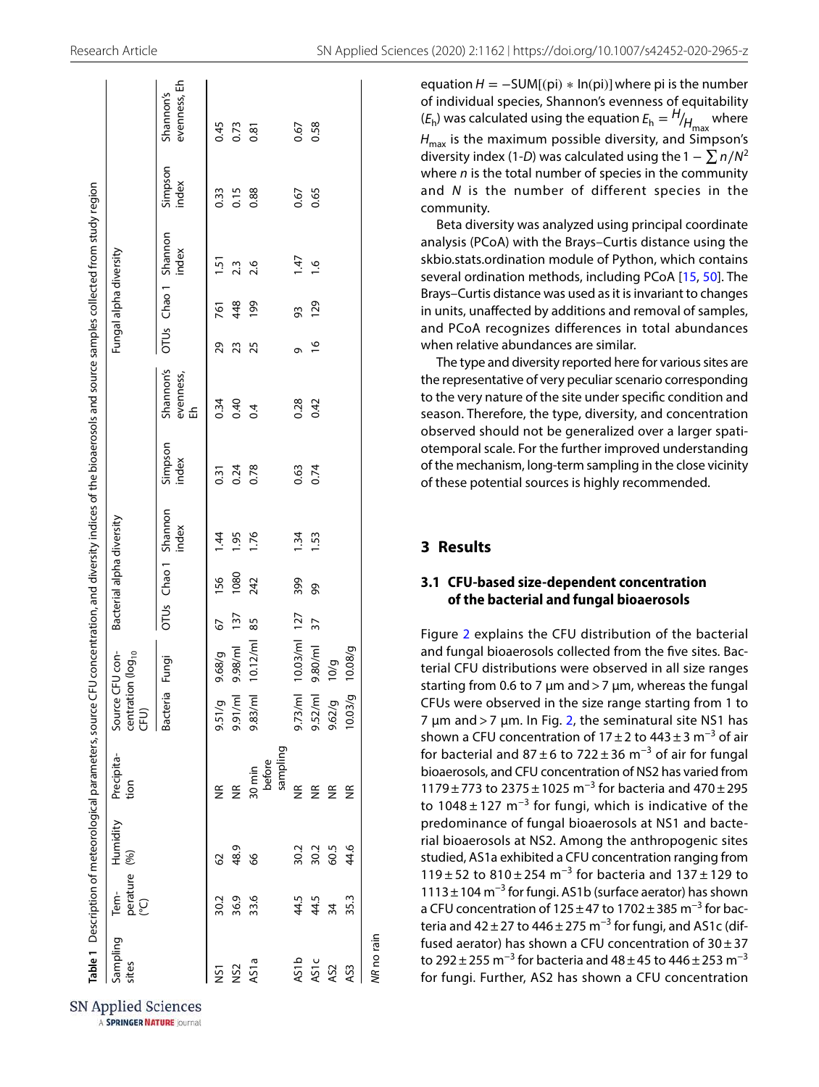|                   |                                           |          | Table 1 Description of meteorological parameters, source CFU concentration, and diversity indices of the bioaerosols and source samples collected from study region |                                                          |              |     |      |                              |                  |                             |               |                        |                              |                  |                           |
|-------------------|-------------------------------------------|----------|---------------------------------------------------------------------------------------------------------------------------------------------------------------------|----------------------------------------------------------|--------------|-----|------|------------------------------|------------------|-----------------------------|---------------|------------------------|------------------------------|------------------|---------------------------|
| Sampling<br>sites | perature $(%)$<br>$(^{\circ}C)$<br>$Tem-$ | Humidity | Precipita-<br>tion                                                                                                                                                  | Source CFU con-<br>centration (log <sub>10</sub><br>CFU) |              |     |      | Bacterial alpha diversity    |                  |                             |               | Fungal alpha diversity |                              |                  |                           |
|                   |                                           |          |                                                                                                                                                                     | Bacteria                                                 | Fungi        |     |      | OTUs Chao 1 Shannon<br>index | Simpson<br>index | Shannon's<br>evenness,<br>뚠 |               |                        | OTUs Chao 1 Shannon<br>index | Simpson<br>index | evenness, Eh<br>Shannon's |
| <b>NST</b>        | 30.2                                      | 29       | E                                                                                                                                                                   | 9.51/g                                                   | 9.68/g       | 67  | 156  | 144                          | 0.31             | 0.34                        | 29            | 761                    | 1.51                         | 0.33             | 0.45                      |
| NS <sub>2</sub>   | 36.9                                      | 48.9     | $\widetilde{\Xi}$                                                                                                                                                   | 9.91/ml                                                  | 9.98/ml      | 137 | 1080 | 1.95                         | 0.24             | 0.40                        | 23            | 448                    | 23                           | 0.15             | 0.73                      |
| AS1a              | 33.6                                      | 66       | sampling<br>before<br>30 min                                                                                                                                        | 9.83/ml                                                  | 10.12/ml 85  |     | 242  | 1.76                         | 0.78             | 0.4                         | 25            | 199                    | 2.6                          | 0.88             | 0.81                      |
| <b>AS1b</b>       |                                           | 30.2     | $\frac{\alpha}{\beta}$                                                                                                                                              | 9.73/m                                                   | 10.03/ml 127 |     | 399  | 1.34                         | 0.63             | 0.28                        | Ō             | 93                     | 147                          | 0.67             | 0.67                      |
| <b>AS1c</b>       | 44.5<br>44.5                              | 30.2     | $\frac{\alpha}{\beta}$                                                                                                                                              | 9.52/m                                                   | 9.80/ml      | 37  | 8    | 1.53                         | 0.74             | 0.42                        | $\frac{6}{2}$ | <b>129</b>             | $\frac{6}{1}$                | 0.65             | 0.58                      |
| AS2               | $\overline{34}$                           | 60.5     | $\frac{\alpha}{\alpha}$                                                                                                                                             | 9.62/g                                                   | 10/g         |     |      |                              |                  |                             |               |                        |                              |                  |                           |
| AS3               | 35.3                                      | 44.6     | $\frac{\alpha}{\beta}$                                                                                                                                              | 10.03/g                                                  | 10.08/g      |     |      |                              |                  |                             |               |                        |                              |                  |                           |

equation  $H = -SUM[(pi) * In(pi)]$  where pi is the number of individual species, Shannon's evenness of equitability  $(E_h)$  was calculated using the equation  $E_h = H/_{H_{\text{max}}}$  where  $H_{\text{max}}$  is the maximum possible diversity, and Simpson's diversity index (1-D) was calculated using the  $1 - \sum n/N^2$ where  $n$  is the total number of species in the community and N is the number of different species in the community.

Beta diversity was analyzed using principal coordinate analysis (PCoA) with the Brays–Curtis distance using the skbio.stats.ordination module of Python, which contains several ordination methods, including PCoA [[15,](#page-13-8) [50\]](#page-14-11). The Brays–Curtis distance was used as it is invariant to changes in units, unaffected by additions and removal of samples, and PCoA recognizes differences in total abundances when relative abundances are similar.

The type and diversity reported here for various sites are the representative of very peculiar scenario corresponding to the very nature of the site under specific condition and season. Therefore, the type, diversity, and concentration observed should not be generalized over a larger spatiotemporal scale. For the further improved understanding of the mechanism, long-term sampling in the close vicinity of these potential sources is highly recommended.

# **3 Results**

NR no rain

#### **3.1 CFU‑based size‑dependent concentration of the bacterial and fungal bioaerosols**

Figure [2](#page-4-0) explains the CFU distribution of the bacterial and fungal bioaerosols collected from the five sites. Bacterial CFU distributions were observed in all size ranges starting from 0.6 to 7  $\mu$ m and > 7  $\mu$ m, whereas the fungal CFUs were observed in the size range starting from 1 to 7  $\mu$ m and > 7  $\mu$ m. In Fig. [2,](#page-4-0) the seminatural site NS1 has shown a CFU concentration of 17 ± 2 to 443 ± 3 m<sup>-3</sup> of air for bacterial and  $87 \pm 6$  to  $722 \pm 36$  m<sup>-3</sup> of air for fungal bioaerosols, and CFU concentration of NS2 has varied from 1179 ± 773 to 2375 ± 1025 m−3 for bacteria and 470 ± 295 to 1048 ± 127  $m^{-3}$  for fungi, which is indicative of the predominance of fungal bioaerosols at NS1 and bacterial bioaerosols at NS2. Among the anthropogenic sites studied, AS1a exhibited a CFU concentration ranging from 119 ± 52 to 810 ± 254 m<sup>-3</sup> for bacteria and 137 ± 129 to 1113 ± 104 m−3 for fungi. AS1b (surface aerator) has shown a CFU concentration of 125 ± 47 to 1702 ± 385 m<sup>-3</sup> for bacteria and  $42 \pm 27$  to  $446 \pm 275$  m<sup>-3</sup> for fungi, and AS1c (diffused aerator) has shown a CFU concentration of  $30 \pm 37$ to 292 ± 255 m<sup>-3</sup> for bacteria and 48 ± 45 to 446 ± 253 m<sup>-3</sup> for fungi. Further, AS2 has shown a CFU concentration

<span id="page-3-0"></span>SN Applied Sciences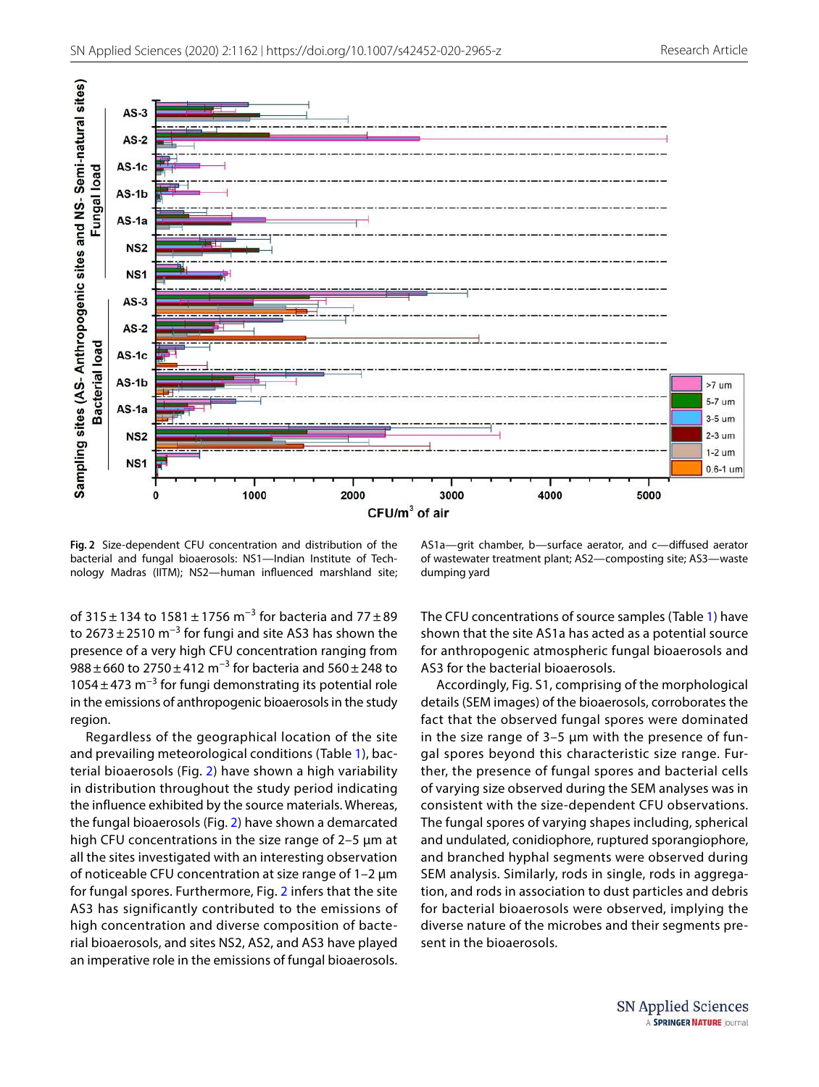

<span id="page-4-0"></span>**Fig. 2** Size-dependent CFU concentration and distribution of the bacterial and fungal bioaerosols: NS1—Indian Institute of Technology Madras (IITM); NS2—human influenced marshland site;

AS1a—grit chamber, b—surface aerator, and c—diffused aerator of wastewater treatment plant; AS2—composting site; AS3—waste dumping yard

of 315 ± 134 to 1581 ± 1756 m<sup>-3</sup> for bacteria and 77 ± 89 to  $2673 \pm 2510$  m<sup>-3</sup> for fungi and site AS3 has shown the presence of a very high CFU concentration ranging from 988 ± 660 to 2750 ± 412  $\text{m}^{-3}$  for bacteria and 560 ± 248 to 1054  $\pm$  473 m<sup>-3</sup> for fungi demonstrating its potential role in the emissions of anthropogenic bioaerosols in the study region.

Regardless of the geographical location of the site and prevailing meteorological conditions (Table [1](#page-3-0)), bacterial bioaerosols (Fig. [2](#page-4-0)) have shown a high variability in distribution throughout the study period indicating the influence exhibited by the source materials. Whereas, the fungal bioaerosols (Fig. [2](#page-4-0)) have shown a demarcated high CFU concentrations in the size range of 2–5 µm at all the sites investigated with an interesting observation of noticeable CFU concentration at size range of 1–2 µm for fungal spores. Furthermore, Fig. [2](#page-4-0) infers that the site AS3 has significantly contributed to the emissions of high concentration and diverse composition of bacterial bioaerosols, and sites NS2, AS2, and AS3 have played an imperative role in the emissions of fungal bioaerosols.

The CFU concentrations of source samples (Table [1](#page-3-0)) have shown that the site AS1a has acted as a potential source for anthropogenic atmospheric fungal bioaerosols and AS3 for the bacterial bioaerosols.

Accordingly, Fig. S1, comprising of the morphological details (SEM images) of the bioaerosols, corroborates the fact that the observed fungal spores were dominated in the size range of 3–5 µm with the presence of fungal spores beyond this characteristic size range. Further, the presence of fungal spores and bacterial cells of varying size observed during the SEM analyses was in consistent with the size-dependent CFU observations. The fungal spores of varying shapes including, spherical and undulated, conidiophore, ruptured sporangiophore, and branched hyphal segments were observed during SEM analysis. Similarly, rods in single, rods in aggregation, and rods in association to dust particles and debris for bacterial bioaerosols were observed, implying the diverse nature of the microbes and their segments present in the bioaerosols.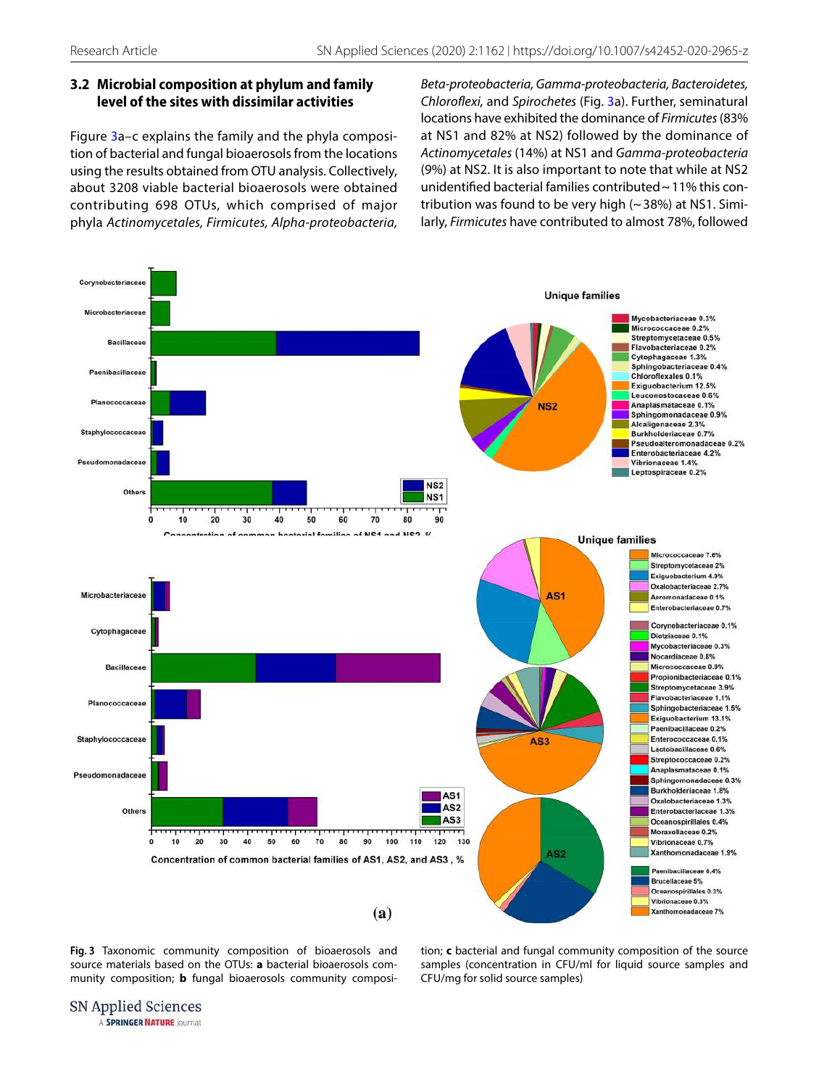# **3.2 Microbial composition at phylum and family level of the sites with dissimilar activities**

Figure [3a](#page-5-0)–c explains the family and the phyla composition of bacterial and fungal bioaerosols from the locations using the results obtained from OTU analysis. Collectively, about 3208 viable bacterial bioaerosols were obtained contributing 698 OTUs, which comprised of major phyla Actinomycetales, Firmicutes, Alpha-proteobacteria, Beta-proteobacteria, Gamma-proteobacteria, Bacteroidetes, Chloroflexi, and Spirochetes (Fig. [3a](#page-5-0)). Further, seminatural locations have exhibited the dominance of Firmicutes (83% at NS1 and 82% at NS2) followed by the dominance of Actinomycetales (14%) at NS1 and Gamma-proteobacteria (9%) at NS2. It is also important to note that while at NS2 unidentified bacterial families contributed ~ 11% this contribution was found to be very high  $($   $\sim$  38%) at NS1. Similarly, Firmicutes have contributed to almost 78%, followed



<span id="page-5-0"></span>**Fig. 3** Taxonomic community composition of bioaerosols and source materials based on the OTUs: **a** bacterial bioaerosols community composition; **b** fungal bioaerosols community composition; **c** bacterial and fungal community composition of the source samples (concentration in CFU/ml for liquid source samples and CFU/mg for solid source samples)

SN Applied Sciences A SPRINGER NATURE journal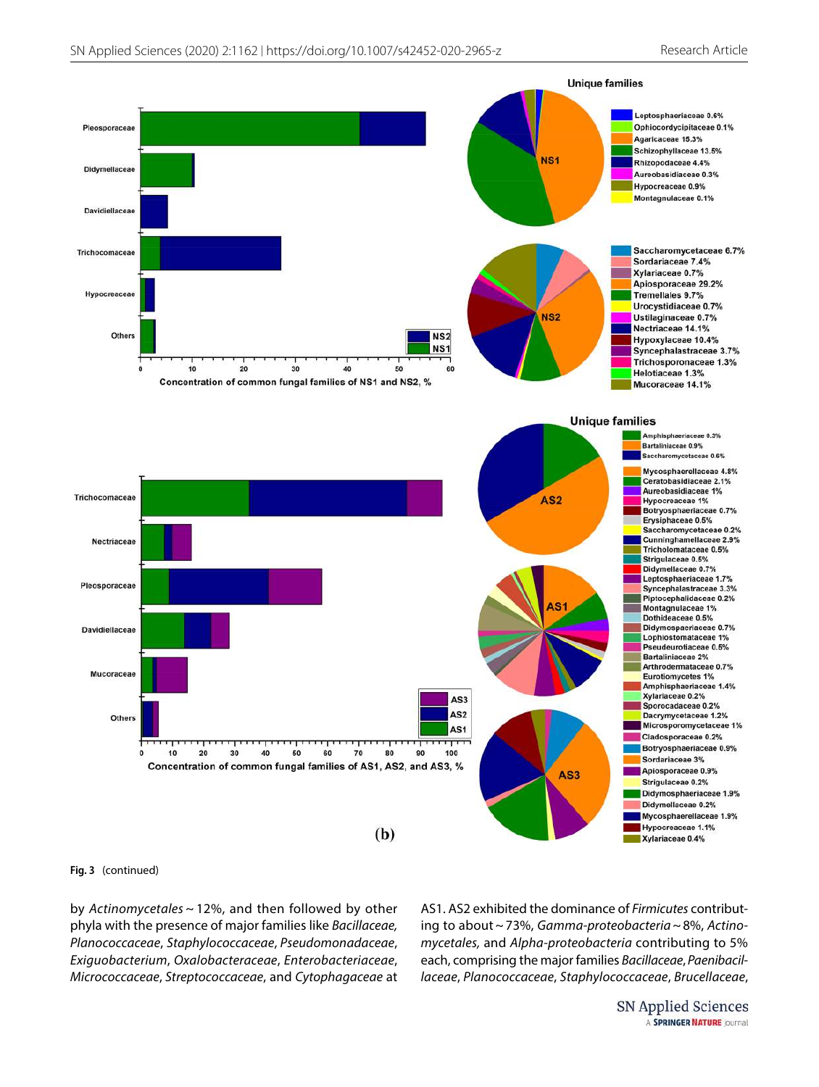

**Fig. 3** (continued)

by Actinomycetales ~ 12%, and then followed by other phyla with the presence of major families like Bacillaceae, Planococcaceae, Staphylococcaceae, Pseudomonadaceae, Exiguobacterium, Oxalobacteraceae, Enterobacteriaceae, Micrococcaceae, Streptococcaceae, and Cytophagaceae at AS1. AS2 exhibited the dominance of Firmicutes contributing to about ~ 73%, Gamma-proteobacteria ~ 8%, Actinomycetales, and Alpha-proteobacteria contributing to 5% each, comprising the major families Bacillaceae, Paenibacillaceae, Planococcaceae, Staphylococcaceae, Brucellaceae,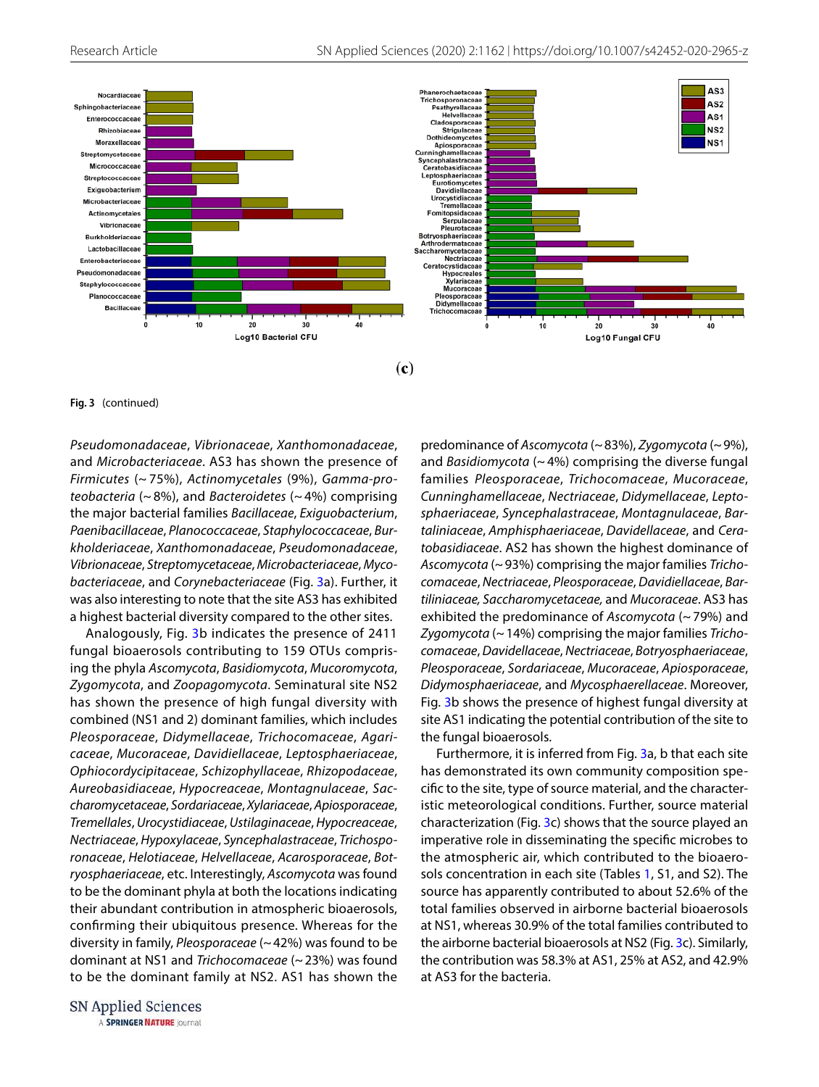

 $\left( \mathbf{c} \right)$ 

**Fig. 3** (continued)

Pseudomonadaceae, Vibrionaceae, Xanthomonadaceae, and Microbacteriaceae. AS3 has shown the presence of Firmicutes (~ 75%), Actinomycetales (9%), Gamma-proteobacteria ( $\sim$  8%), and Bacteroidetes ( $\sim$  4%) comprising the major bacterial families Bacillaceae, Exiguobacterium, Paenibacillaceae, Planococcaceae, Staphylococcaceae, Burkholderiaceae, Xanthomonadaceae, Pseudomonadaceae, Vibrionaceae, Streptomycetaceae, Microbacteriaceae, Mycobacteriaceae, and Corynebacteriaceae (Fig. [3a](#page-5-0)). Further, it was also interesting to note that the site AS3 has exhibited a highest bacterial diversity compared to the other sites.

Analogously, Fig. [3](#page-5-0)b indicates the presence of 2411 fungal bioaerosols contributing to 159 OTUs comprising the phyla Ascomycota, Basidiomycota, Mucoromycota, Zygomycota, and Zoopagomycota. Seminatural site NS2 has shown the presence of high fungal diversity with combined (NS1 and 2) dominant families, which includes Pleosporaceae, Didymellaceae, Trichocomaceae, Agaricaceae, Mucoraceae, Davidiellaceae, Leptosphaeriaceae, Ophiocordycipitaceae, Schizophyllaceae, Rhizopodaceae, Aureobasidiaceae, Hypocreaceae, Montagnulaceae, Saccharomycetaceae, Sordariaceae, Xylariaceae, Apiosporaceae, Tremellales, Urocystidiaceae, Ustilaginaceae, Hypocreaceae, Nectriaceae, Hypoxylaceae, Syncephalastraceae, Trichosporonaceae, Helotiaceae, Helvellaceae, Acarosporaceae, Botryosphaeriaceae, etc. Interestingly, Ascomycota was found to be the dominant phyla at both the locations indicating their abundant contribution in atmospheric bioaerosols, confirming their ubiquitous presence. Whereas for the diversity in family, Pleosporaceae (~ 42%) was found to be dominant at NS1 and Trichocomaceae (~ 23%) was found to be the dominant family at NS2. AS1 has shown the predominance of Ascomycota (~ 83%), Zygomycota (~ 9%), and Basidiomycota ( $\sim$  4%) comprising the diverse fungal families Pleosporaceae, Trichocomaceae, Mucoraceae, Cunninghamellaceae, Nectriaceae, Didymellaceae, Leptosphaeriaceae, Syncephalastraceae, Montagnulaceae, Bartaliniaceae, Amphisphaeriaceae, Davidellaceae, and Ceratobasidiaceae. AS2 has shown the highest dominance of Ascomycota (~ 93%) comprising the major families Trichocomaceae, Nectriaceae, Pleosporaceae, Davidiellaceae, Bartiliniaceae, Saccharomycetaceae, and Mucoraceae. AS3 has exhibited the predominance of Ascomycota (~ 79%) and Zygomycota ( $\sim$  14%) comprising the major families Trichocomaceae, Davidellaceae, Nectriaceae, Botryosphaeriaceae, Pleosporaceae, Sordariaceae, Mucoraceae, Apiosporaceae, Didymosphaeriaceae, and Mycosphaerellaceae. Moreover, Fig. [3](#page-5-0)b shows the presence of highest fungal diversity at site AS1 indicating the potential contribution of the site to the fungal bioaerosols.

Furthermore, it is inferred from Fig. [3a](#page-5-0), b that each site has demonstrated its own community composition specific to the site, type of source material, and the characteristic meteorological conditions. Further, source material characterization (Fig. [3c](#page-5-0)) shows that the source played an imperative role in disseminating the specific microbes to the atmospheric air, which contributed to the bioaerosols concentration in each site (Tables [1,](#page-3-0) S1, and S2). The source has apparently contributed to about 52.6% of the total families observed in airborne bacterial bioaerosols at NS1, whereas 30.9% of the total families contributed to the airborne bacterial bioaerosols at NS2 (Fig. [3c](#page-5-0)). Similarly, the contribution was 58.3% at AS1, 25% at AS2, and 42.9% at AS3 for the bacteria.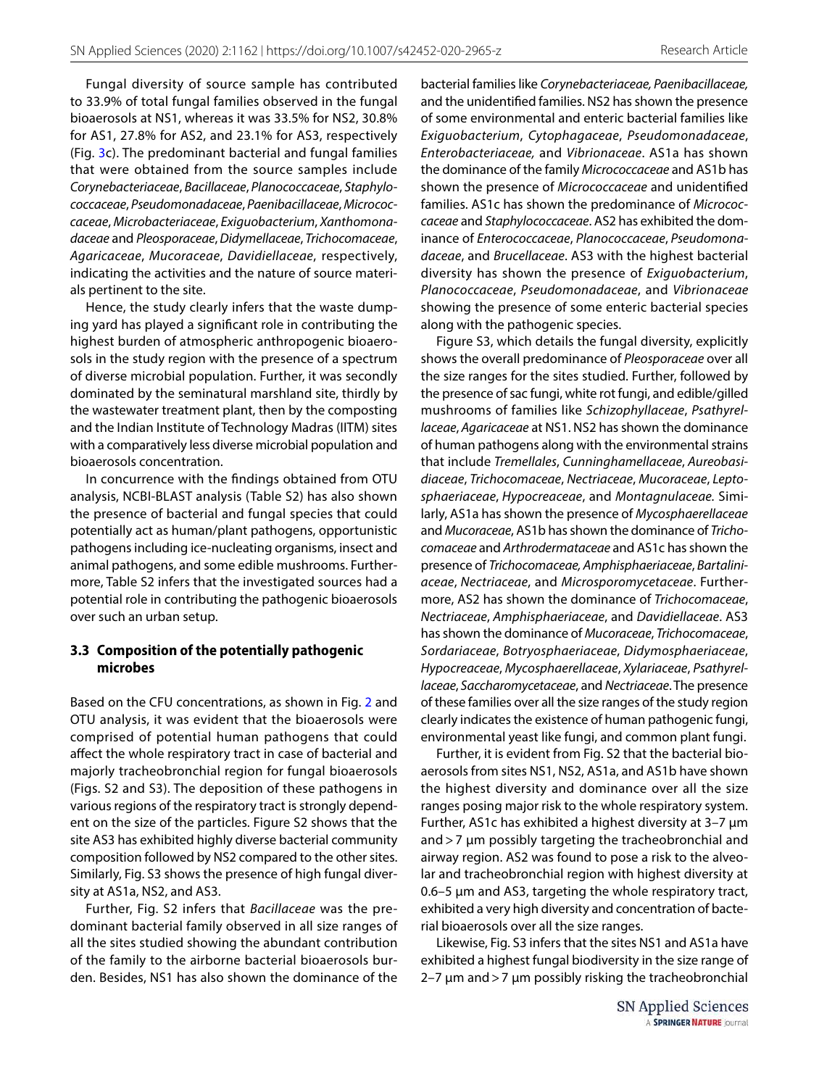Fungal diversity of source sample has contributed to 33.9% of total fungal families observed in the fungal bioaerosols at NS1, whereas it was 33.5% for NS2, 30.8% for AS1, 27.8% for AS2, and 23.1% for AS3, respectively (Fig. [3c](#page-5-0)). The predominant bacterial and fungal families that were obtained from the source samples include Corynebacteriaceae, Bacillaceae, Planococcaceae, Staphylococcaceae, Pseudomonadaceae, Paenibacillaceae, Micrococcaceae, Microbacteriaceae, Exiguobacterium, Xanthomonadaceae and Pleosporaceae, Didymellaceae, Trichocomaceae, Agaricaceae, Mucoraceae, Davidiellaceae, respectively, indicating the activities and the nature of source materials pertinent to the site.

Hence, the study clearly infers that the waste dumping yard has played a significant role in contributing the highest burden of atmospheric anthropogenic bioaerosols in the study region with the presence of a spectrum of diverse microbial population. Further, it was secondly dominated by the seminatural marshland site, thirdly by the wastewater treatment plant, then by the composting and the Indian Institute of Technology Madras (IITM) sites with a comparatively less diverse microbial population and bioaerosols concentration.

In concurrence with the findings obtained from OTU analysis, NCBI-BLAST analysis (Table S2) has also shown the presence of bacterial and fungal species that could potentially act as human/plant pathogens, opportunistic pathogens including ice-nucleating organisms, insect and animal pathogens, and some edible mushrooms. Furthermore, Table S2 infers that the investigated sources had a potential role in contributing the pathogenic bioaerosols over such an urban setup.

## **3.3 Composition of the potentially pathogenic microbes**

Based on the CFU concentrations, as shown in Fig. [2](#page-4-0) and OTU analysis, it was evident that the bioaerosols were comprised of potential human pathogens that could affect the whole respiratory tract in case of bacterial and majorly tracheobronchial region for fungal bioaerosols (Figs. S2 and S3). The deposition of these pathogens in various regions of the respiratory tract is strongly dependent on the size of the particles. Figure S2 shows that the site AS3 has exhibited highly diverse bacterial community composition followed by NS2 compared to the other sites. Similarly, Fig. S3 shows the presence of high fungal diversity at AS1a, NS2, and AS3.

Further, Fig. S2 infers that Bacillaceae was the predominant bacterial family observed in all size ranges of all the sites studied showing the abundant contribution of the family to the airborne bacterial bioaerosols burden. Besides, NS1 has also shown the dominance of the

bacterial families like Corynebacteriaceae, Paenibacillaceae, and the unidentified families. NS2 has shown the presence of some environmental and enteric bacterial families like Exiguobacterium, Cytophagaceae, Pseudomonadaceae, Enterobacteriaceae, and Vibrionaceae. AS1a has shown the dominance of the family Micrococcaceae and AS1b has shown the presence of Micrococcaceae and unidentified families. AS1c has shown the predominance of Micrococcaceae and Staphylococcaceae. AS2 has exhibited the dominance of Enterococcaceae, Planococcaceae, Pseudomonadaceae, and Brucellaceae. AS3 with the highest bacterial diversity has shown the presence of Exiguobacterium, Planococcaceae, Pseudomonadaceae, and Vibrionaceae showing the presence of some enteric bacterial species along with the pathogenic species.

Figure S3, which details the fungal diversity, explicitly shows the overall predominance of Pleosporaceae over all the size ranges for the sites studied. Further, followed by the presence of sac fungi, white rot fungi, and edible/gilled mushrooms of families like Schizophyllaceae, Psathyrellaceae, Agaricaceae at NS1. NS2 has shown the dominance of human pathogens along with the environmental strains that include Tremellales, Cunninghamellaceae, Aureobasidiaceae, Trichocomaceae, Nectriaceae, Mucoraceae, Leptosphaeriaceae, Hypocreaceae, and Montagnulaceae. Similarly, AS1a has shown the presence of Mycosphaerellaceae and Mucoraceae, AS1b has shown the dominance of Trichocomaceae and Arthrodermataceae and AS1c has shown the presence of Trichocomaceae, Amphisphaeriaceae, Bartaliniaceae, Nectriaceae, and Microsporomycetaceae. Furthermore, AS2 has shown the dominance of Trichocomaceae, Nectriaceae, Amphisphaeriaceae, and Davidiellaceae. AS3 has shown the dominance of Mucoraceae, Trichocomaceae, Sordariaceae, Botryosphaeriaceae, Didymosphaeriaceae, Hypocreaceae, Mycosphaerellaceae, Xylariaceae, Psathyrellaceae, Saccharomycetaceae, and Nectriaceae. The presence of these families over all the size ranges of the study region clearly indicates the existence of human pathogenic fungi, environmental yeast like fungi, and common plant fungi.

Further, it is evident from Fig. S2 that the bacterial bioaerosols from sites NS1, NS2, AS1a, and AS1b have shown the highest diversity and dominance over all the size ranges posing major risk to the whole respiratory system. Further, AS1c has exhibited a highest diversity at 3–7 µm and > 7 µm possibly targeting the tracheobronchial and airway region. AS2 was found to pose a risk to the alveolar and tracheobronchial region with highest diversity at 0.6–5 µm and AS3, targeting the whole respiratory tract, exhibited a very high diversity and concentration of bacterial bioaerosols over all the size ranges.

Likewise, Fig. S3 infers that the sites NS1 and AS1a have exhibited a highest fungal biodiversity in the size range of 2–7  $\mu$ m and > 7  $\mu$ m possibly risking the tracheobronchial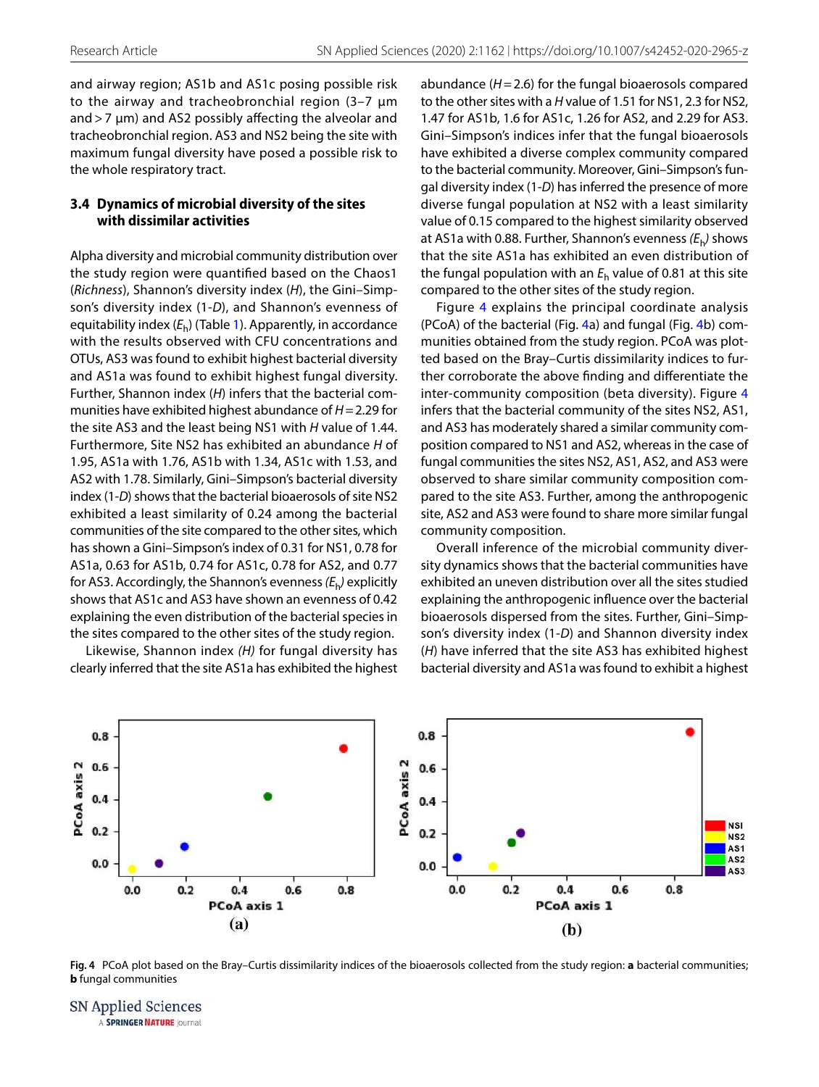and airway region; AS1b and AS1c posing possible risk to the airway and tracheobronchial region (3-7  $\mu$ m and > 7 µm) and AS2 possibly affecting the alveolar and tracheobronchial region. AS3 and NS2 being the site with maximum fungal diversity have posed a possible risk to the whole respiratory tract.

### **3.4 Dynamics of microbial diversity of the sites with dissimilar activities**

Alpha diversity and microbial community distribution over the study region were quantified based on the Chaos1 (Richness), Shannon's diversity index (H), the Gini–Simpson's diversity index (1-D), and Shannon's evenness of equitability index  $(E_h)$  (Table [1\)](#page-3-0). Apparently, in accordance with the results observed with CFU concentrations and OTUs, AS3 was found to exhibit highest bacterial diversity and AS1a was found to exhibit highest fungal diversity. Further, Shannon index (H) infers that the bacterial communities have exhibited highest abundance of  $H = 2.29$  for the site AS3 and the least being NS1 with H value of 1.44. Furthermore, Site NS2 has exhibited an abundance H of 1.95, AS1a with 1.76, AS1b with 1.34, AS1c with 1.53, and AS2 with 1.78. Similarly, Gini–Simpson's bacterial diversity index (1-D) shows that the bacterial bioaerosols of site NS2 exhibited a least similarity of 0.24 among the bacterial communities of the site compared to the other sites, which has shown a Gini–Simpson's index of 0.31 for NS1, 0.78 for AS1a, 0.63 for AS1b, 0.74 for AS1c, 0.78 for AS2, and 0.77 for AS3. Accordingly, the Shannon's evenness  $(E_{\mathsf{h}})$  explicitly shows that AS1c and AS3 have shown an evenness of 0.42 explaining the even distribution of the bacterial species in the sites compared to the other sites of the study region.

Likewise, Shannon index (H) for fungal diversity has clearly inferred that the site AS1a has exhibited the highest abundance  $(H = 2.6)$  for the fungal bioaerosols compared to the other sites with a H value of 1.51 for NS1, 2.3 for NS2, 1.47 for AS1b, 1.6 for AS1c, 1.26 for AS2, and 2.29 for AS3. Gini–Simpson's indices infer that the fungal bioaerosols have exhibited a diverse complex community compared to the bacterial community. Moreover, Gini–Simpson's fungal diversity index (1-D) has inferred the presence of more diverse fungal population at NS2 with a least similarity value of 0.15 compared to the highest similarity observed at AS1a with 0.88. Further, Shannon's evenness  $(E_h)$  shows that the site AS1a has exhibited an even distribution of the fungal population with an  $E_h$  value of 0.81 at this site compared to the other sites of the study region.

Figure [4](#page-9-0) explains the principal coordinate analysis (PCoA) of the bacterial (Fig. [4a](#page-9-0)) and fungal (Fig. [4b](#page-9-0)) communities obtained from the study region. PCoA was plotted based on the Bray–Curtis dissimilarity indices to further corroborate the above finding and differentiate the inter-community composition (beta diversity). Figure [4](#page-9-0) infers that the bacterial community of the sites NS2, AS1, and AS3 has moderately shared a similar community composition compared to NS1 and AS2, whereas in the case of fungal communities the sites NS2, AS1, AS2, and AS3 were observed to share similar community composition compared to the site AS3. Further, among the anthropogenic site, AS2 and AS3 were found to share more similar fungal community composition.

Overall inference of the microbial community diversity dynamics shows that the bacterial communities have exhibited an uneven distribution over all the sites studied explaining the anthropogenic influence over the bacterial bioaerosols dispersed from the sites. Further, Gini–Simpson's diversity index (1-D) and Shannon diversity index (H) have inferred that the site AS3 has exhibited highest bacterial diversity and AS1a was found to exhibit a highest



<span id="page-9-0"></span>**Fig. 4** PCoA plot based on the Bray–Curtis dissimilarity indices of the bioaerosols collected from the study region: **a** bacterial communities; **b** fungal communities

SN Applied Sciences A SPRINGER NATURE journal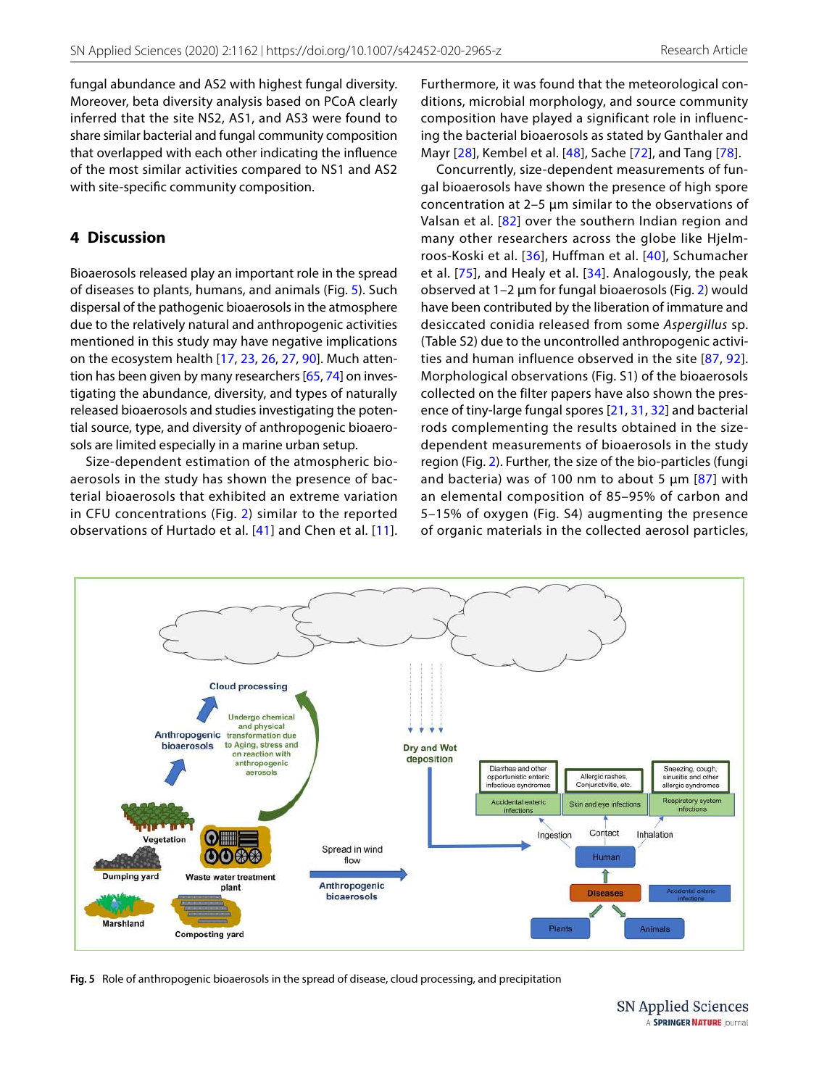fungal abundance and AS2 with highest fungal diversity. Moreover, beta diversity analysis based on PCoA clearly inferred that the site NS2, AS1, and AS3 were found to share similar bacterial and fungal community composition that overlapped with each other indicating the influence of the most similar activities compared to NS1 and AS2 with site-specific community composition.

# **4 Discussion**

Bioaerosols released play an important role in the spread of diseases to plants, humans, and animals (Fig. [5\)](#page-10-0). Such dispersal of the pathogenic bioaerosols in the atmosphere due to the relatively natural and anthropogenic activities mentioned in this study may have negative implications on the ecosystem health [\[17,](#page-13-1) [23,](#page-13-9) [26](#page-13-2), [27](#page-14-12), [90](#page-15-1)]. Much attention has been given by many researchers [[65](#page-15-11), [74](#page-15-10)] on investigating the abundance, diversity, and types of naturally released bioaerosols and studies investigating the potential source, type, and diversity of anthropogenic bioaerosols are limited especially in a marine urban setup.

Size-dependent estimation of the atmospheric bioaerosols in the study has shown the presence of bacterial bioaerosols that exhibited an extreme variation in CFU concentrations (Fig. [2\)](#page-4-0) similar to the reported observations of Hurtado et al. [\[41\]](#page-14-2) and Chen et al. [\[11](#page-13-10)].

Furthermore, it was found that the meteorological conditions, microbial morphology, and source community composition have played a significant role in influencing the bacterial bioaerosols as stated by Ganthaler and Mayr [[28\]](#page-14-13), Kembel et al. [[48\]](#page-14-14), Sache [[72\]](#page-15-12), and Tang [[78](#page-15-13)].

Concurrently, size-dependent measurements of fungal bioaerosols have shown the presence of high spore concentration at 2–5 µm similar to the observations of Valsan et al. [[82](#page-15-14)] over the southern Indian region and many other researchers across the globe like Hjelmroos-Koski et al. [[36](#page-14-15)], Huffman et al. [[40](#page-14-16)], Schumacher et al. [[75](#page-15-15)], and Healy et al. [[34\]](#page-14-17). Analogously, the peak observed at 1–2 µm for fungal bioaerosols (Fig. [2](#page-4-0)) would have been contributed by the liberation of immature and desiccated conidia released from some Aspergillus sp. (Table S2) due to the uncontrolled anthropogenic activities and human influence observed in the site [[87,](#page-15-16) [92](#page-15-17)]. Morphological observations (Fig. S1) of the bioaerosols collected on the filter papers have also shown the presence of tiny-large fungal spores [\[21,](#page-13-11) [31](#page-14-18), [32\]](#page-14-19) and bacterial rods complementing the results obtained in the sizedependent measurements of bioaerosols in the study region (Fig. [2\)](#page-4-0). Further, the size of the bio-particles (fungi and bacteria) was of 100 nm to about 5  $\mu$ m [[87\]](#page-15-16) with an elemental composition of 85–95% of carbon and 5–15% of oxygen (Fig. S4) augmenting the presence of organic materials in the collected aerosol particles,



<span id="page-10-0"></span>**Fig. 5** Role of anthropogenic bioaerosols in the spread of disease, cloud processing, and precipitation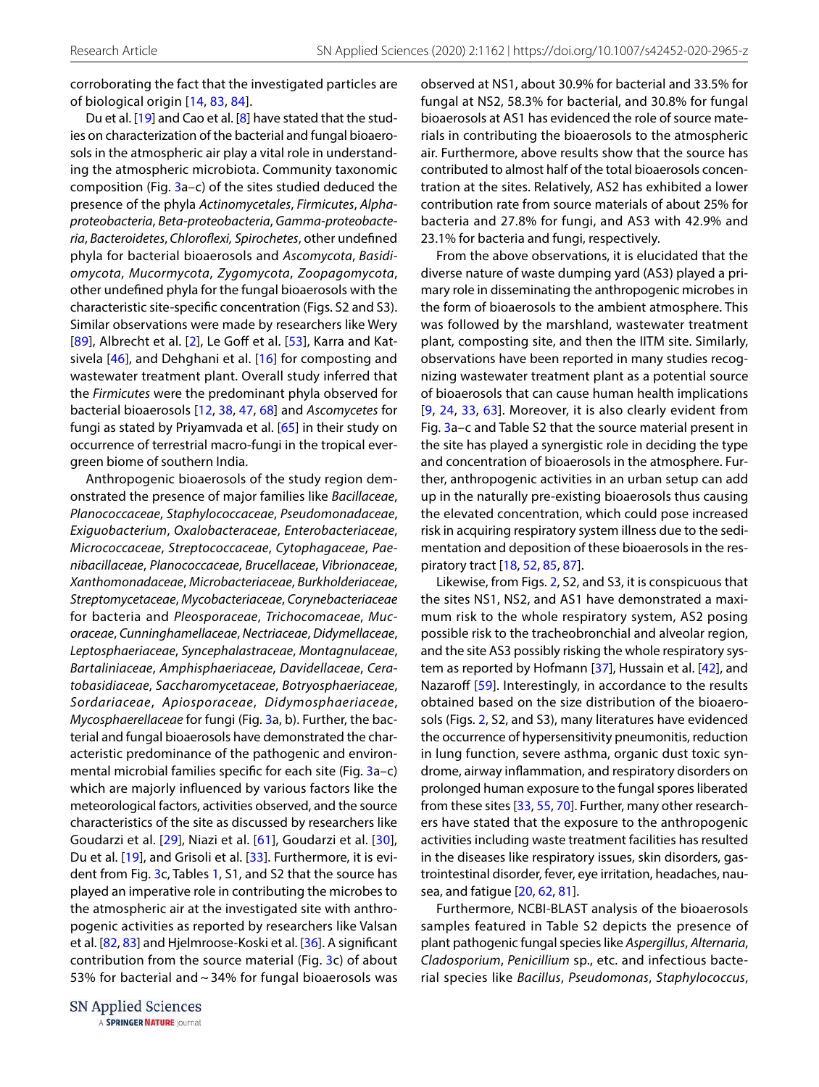corroborating the fact that the investigated particles are of biological origin [[14](#page-13-12), [83](#page-15-5), [84\]](#page-15-18).

Du et al. [\[19](#page-13-6)] and Cao et al. [\[8\]](#page-13-13) have stated that the studies on characterization of the bacterial and fungal bioaerosols in the atmospheric air play a vital role in understanding the atmospheric microbiota. Community taxonomic composition (Fig. [3](#page-5-0)a–c) of the sites studied deduced the presence of the phyla Actinomycetales, Firmicutes, Alphaproteobacteria, Beta-proteobacteria, Gamma-proteobacteria, Bacteroidetes, Chloroflexi, Spirochetes, other undefined phyla for bacterial bioaerosols and Ascomycota, Basidiomycota, Mucormycota, Zygomycota, Zoopagomycota, other undefined phyla for the fungal bioaerosols with the characteristic site-specific concentration (Figs. S2 and S3). Similar observations were made by researchers like Wery [[89\]](#page-15-19), Albrecht et al. [[2\]](#page-13-14), Le Goff et al. [[53](#page-14-20)], Karra and Katsivela [\[46\]](#page-14-21), and Dehghani et al. [\[16\]](#page-13-15) for composting and wastewater treatment plant. Overall study inferred that the Firmicutes were the predominant phyla observed for bacterial bioaerosols [\[12](#page-13-16), [38](#page-14-22), [47](#page-14-23), [68](#page-15-20)] and Ascomycetes for fungi as stated by Priyamvada et al. [\[65\]](#page-15-11) in their study on occurrence of terrestrial macro-fungi in the tropical evergreen biome of southern India.

Anthropogenic bioaerosols of the study region demonstrated the presence of major families like Bacillaceae, Planococcaceae, Staphylococcaceae, Pseudomonadaceae, Exiguobacterium, Oxalobacteraceae, Enterobacteriaceae, Micrococcaceae, Streptococcaceae, Cytophagaceae, Paenibacillaceae, Planococcaceae, Brucellaceae, Vibrionaceae, Xanthomonadaceae, Microbacteriaceae, Burkholderiaceae, Streptomycetaceae, Mycobacteriaceae, Corynebacteriaceae for bacteria and Pleosporaceae, Trichocomaceae, Mucoraceae, Cunninghamellaceae, Nectriaceae, Didymellaceae, Leptosphaeriaceae, Syncephalastraceae, Montagnulaceae, Bartaliniaceae, Amphisphaeriaceae, Davidellaceae, Ceratobasidiaceae, Saccharomycetaceae, Botryosphaeriaceae, Sordariaceae, Apiosporaceae, Didymosphaeriaceae, Mycosphaerellaceae for fungi (Fig. [3](#page-5-0)a, b). Further, the bacterial and fungal bioaerosols have demonstrated the characteristic predominance of the pathogenic and environmental microbial families specific for each site (Fig. [3a](#page-5-0)–c) which are majorly influenced by various factors like the meteorological factors, activities observed, and the source characteristics of the site as discussed by researchers like Goudarzi et al. [[29](#page-14-24)], Niazi et al. [\[61\]](#page-14-25), Goudarzi et al. [[30\]](#page-14-26), Du et al. [[19](#page-13-6)], and Grisoli et al. [[33\]](#page-14-27). Furthermore, it is evi-dent from Fig. [3](#page-5-0)c, Tables [1](#page-3-0), S1, and S2 that the source has played an imperative role in contributing the microbes to the atmospheric air at the investigated site with anthropogenic activities as reported by researchers like Valsan et al. [\[82](#page-15-14), [83](#page-15-5)] and Hjelmroose-Koski et al. [\[36](#page-14-15)]. A significant contribution from the source material (Fig. [3](#page-5-0)c) of about 53% for bacterial and ~ 34% for fungal bioaerosols was

SN Applied Sciences A SPRINGER NATURE journal observed at NS1, about 30.9% for bacterial and 33.5% for fungal at NS2, 58.3% for bacterial, and 30.8% for fungal bioaerosols at AS1 has evidenced the role of source materials in contributing the bioaerosols to the atmospheric air. Furthermore, above results show that the source has contributed to almost half of the total bioaerosols concentration at the sites. Relatively, AS2 has exhibited a lower contribution rate from source materials of about 25% for bacteria and 27.8% for fungi, and AS3 with 42.9% and 23.1% for bacteria and fungi, respectively.

From the above observations, it is elucidated that the diverse nature of waste dumping yard (AS3) played a primary role in disseminating the anthropogenic microbes in the form of bioaerosols to the ambient atmosphere. This was followed by the marshland, wastewater treatment plant, composting site, and then the IITM site. Similarly, observations have been reported in many studies recognizing wastewater treatment plant as a potential source of bioaerosols that can cause human health implications [\[9,](#page-13-17) [24](#page-13-7), [33](#page-14-27), [63](#page-15-8)]. Moreover, it is also clearly evident from Fig. [3](#page-5-0)a–c and Table S2 that the source material present in the site has played a synergistic role in deciding the type and concentration of bioaerosols in the atmosphere. Further, anthropogenic activities in an urban setup can add up in the naturally pre-existing bioaerosols thus causing the elevated concentration, which could pose increased risk in acquiring respiratory system illness due to the sedimentation and deposition of these bioaerosols in the respiratory tract [[18](#page-13-18), [52,](#page-14-28) [85](#page-15-21), [87\]](#page-15-16).

Likewise, from Figs. [2](#page-4-0), S2, and S3, it is conspicuous that the sites NS1, NS2, and AS1 have demonstrated a maximum risk to the whole respiratory system, AS2 posing possible risk to the tracheobronchial and alveolar region, and the site AS3 possibly risking the whole respiratory system as reported by Hofmann [[37](#page-14-5)], Hussain et al. [[42\]](#page-14-6), and Nazaroff [[59](#page-14-7)]. Interestingly, in accordance to the results obtained based on the size distribution of the bioaerosols (Figs. [2](#page-4-0), S2, and S3), many literatures have evidenced the occurrence of hypersensitivity pneumonitis, reduction in lung function, severe asthma, organic dust toxic syndrome, airway inflammation, and respiratory disorders on prolonged human exposure to the fungal spores liberated from these sites [\[33](#page-14-27), [55,](#page-14-29) [70](#page-15-22)]. Further, many other researchers have stated that the exposure to the anthropogenic activities including waste treatment facilities has resulted in the diseases like respiratory issues, skin disorders, gastrointestinal disorder, fever, eye irritation, headaches, nausea, and fatigue [\[20](#page-13-19), [62,](#page-15-23) [81](#page-15-24)].

Furthermore, NCBI-BLAST analysis of the bioaerosols samples featured in Table S2 depicts the presence of plant pathogenic fungal species like Aspergillus, Alternaria, Cladosporium, Penicillium sp., etc. and infectious bacterial species like Bacillus, Pseudomonas, Staphylococcus,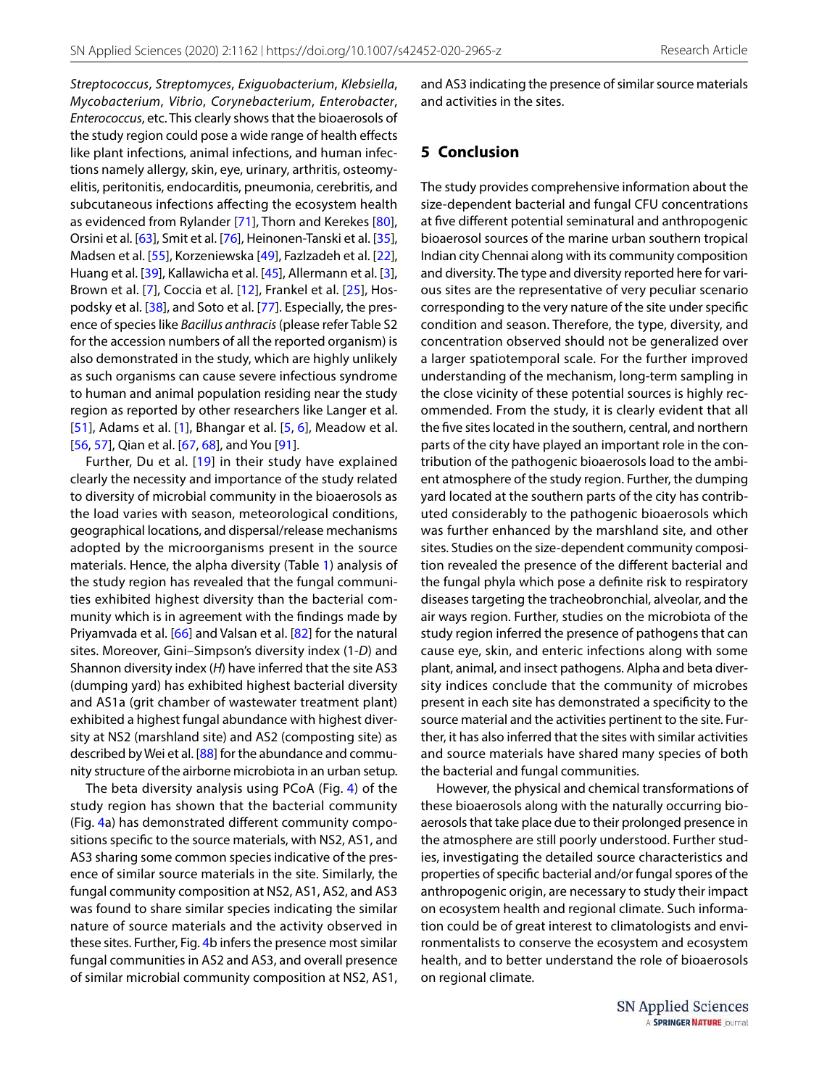Streptococcus, Streptomyces, Exiguobacterium, Klebsiella, Mycobacterium, Vibrio, Corynebacterium, Enterobacter, Enterococcus, etc. This clearly shows that the bioaerosols of the study region could pose a wide range of health effects like plant infections, animal infections, and human infections namely allergy, skin, eye, urinary, arthritis, osteomyelitis, peritonitis, endocarditis, pneumonia, cerebritis, and subcutaneous infections affecting the ecosystem health as evidenced from Rylander [\[71](#page-15-25)], Thorn and Kerekes [[80](#page-15-26)], Orsini et al. [\[63](#page-15-8)], Smit et al. [\[76\]](#page-15-27), Heinonen-Tanski et al. [\[35](#page-14-30)], Madsen et al. [\[55\]](#page-14-29), Korzeniewska [[49\]](#page-14-31), Fazlzadeh et al. [\[22](#page-13-20)], Huang et al. [\[39](#page-14-32)], Kallawicha et al. [[45\]](#page-14-8), Allermann et al. [\[3](#page-13-21)], Brown et al. [\[7\]](#page-13-4), Coccia et al. [[12](#page-13-16)], Frankel et al. [[25](#page-13-22)], Hospodsky et al. [\[38\]](#page-14-22), and Soto et al. [[77](#page-15-28)]. Especially, the presence of species like Bacillus anthracis (please refer Table S2 for the accession numbers of all the reported organism) is also demonstrated in the study, which are highly unlikely as such organisms can cause severe infectious syndrome to human and animal population residing near the study region as reported by other researchers like Langer et al. [[51](#page-14-3)], Adams et al. [[1\]](#page-13-23), Bhangar et al. [[5,](#page-13-24) [6\]](#page-13-25), Meadow et al. [[56](#page-14-33), [57\]](#page-14-34), Qian et al. [\[67,](#page-15-29) [68](#page-15-20)], and You [[91](#page-15-30)].

Further, Du et al. [[19\]](#page-13-6) in their study have explained clearly the necessity and importance of the study related to diversity of microbial community in the bioaerosols as the load varies with season, meteorological conditions, geographical locations, and dispersal/release mechanisms adopted by the microorganisms present in the source materials. Hence, the alpha diversity (Table [1\)](#page-3-0) analysis of the study region has revealed that the fungal communities exhibited highest diversity than the bacterial community which is in agreement with the findings made by Priyamvada et al. [[66](#page-15-31)] and Valsan et al. [\[82](#page-15-14)] for the natural sites. Moreover, Gini–Simpson's diversity index (1-D) and Shannon diversity index (H) have inferred that the site AS3 (dumping yard) has exhibited highest bacterial diversity and AS1a (grit chamber of wastewater treatment plant) exhibited a highest fungal abundance with highest diversity at NS2 (marshland site) and AS2 (composting site) as described by Wei et al. [\[88](#page-15-32)] for the abundance and community structure of the airborne microbiota in an urban setup.

The beta diversity analysis using PCoA (Fig. [4\)](#page-9-0) of the study region has shown that the bacterial community (Fig. [4](#page-9-0)a) has demonstrated different community compositions specific to the source materials, with NS2, AS1, and AS3 sharing some common species indicative of the presence of similar source materials in the site. Similarly, the fungal community composition at NS2, AS1, AS2, and AS3 was found to share similar species indicating the similar nature of source materials and the activity observed in these sites. Further, Fig. [4](#page-9-0)b infers the presence most similar fungal communities in AS2 and AS3, and overall presence of similar microbial community composition at NS2, AS1, and AS3 indicating the presence of similar source materials and activities in the sites.

#### **5 Conclusion**

The study provides comprehensive information about the size-dependent bacterial and fungal CFU concentrations at five different potential seminatural and anthropogenic bioaerosol sources of the marine urban southern tropical Indian city Chennai along with its community composition and diversity. The type and diversity reported here for various sites are the representative of very peculiar scenario corresponding to the very nature of the site under specific condition and season. Therefore, the type, diversity, and concentration observed should not be generalized over a larger spatiotemporal scale. For the further improved understanding of the mechanism, long-term sampling in the close vicinity of these potential sources is highly recommended. From the study, it is clearly evident that all the five sites located in the southern, central, and northern parts of the city have played an important role in the contribution of the pathogenic bioaerosols load to the ambient atmosphere of the study region. Further, the dumping yard located at the southern parts of the city has contributed considerably to the pathogenic bioaerosols which was further enhanced by the marshland site, and other sites. Studies on the size-dependent community composition revealed the presence of the different bacterial and the fungal phyla which pose a definite risk to respiratory diseases targeting the tracheobronchial, alveolar, and the air ways region. Further, studies on the microbiota of the study region inferred the presence of pathogens that can cause eye, skin, and enteric infections along with some plant, animal, and insect pathogens. Alpha and beta diversity indices conclude that the community of microbes present in each site has demonstrated a specificity to the source material and the activities pertinent to the site. Further, it has also inferred that the sites with similar activities and source materials have shared many species of both the bacterial and fungal communities.

However, the physical and chemical transformations of these bioaerosols along with the naturally occurring bioaerosols that take place due to their prolonged presence in the atmosphere are still poorly understood. Further studies, investigating the detailed source characteristics and properties of specific bacterial and/or fungal spores of the anthropogenic origin, are necessary to study their impact on ecosystem health and regional climate. Such information could be of great interest to climatologists and environmentalists to conserve the ecosystem and ecosystem health, and to better understand the role of bioaerosols on regional climate.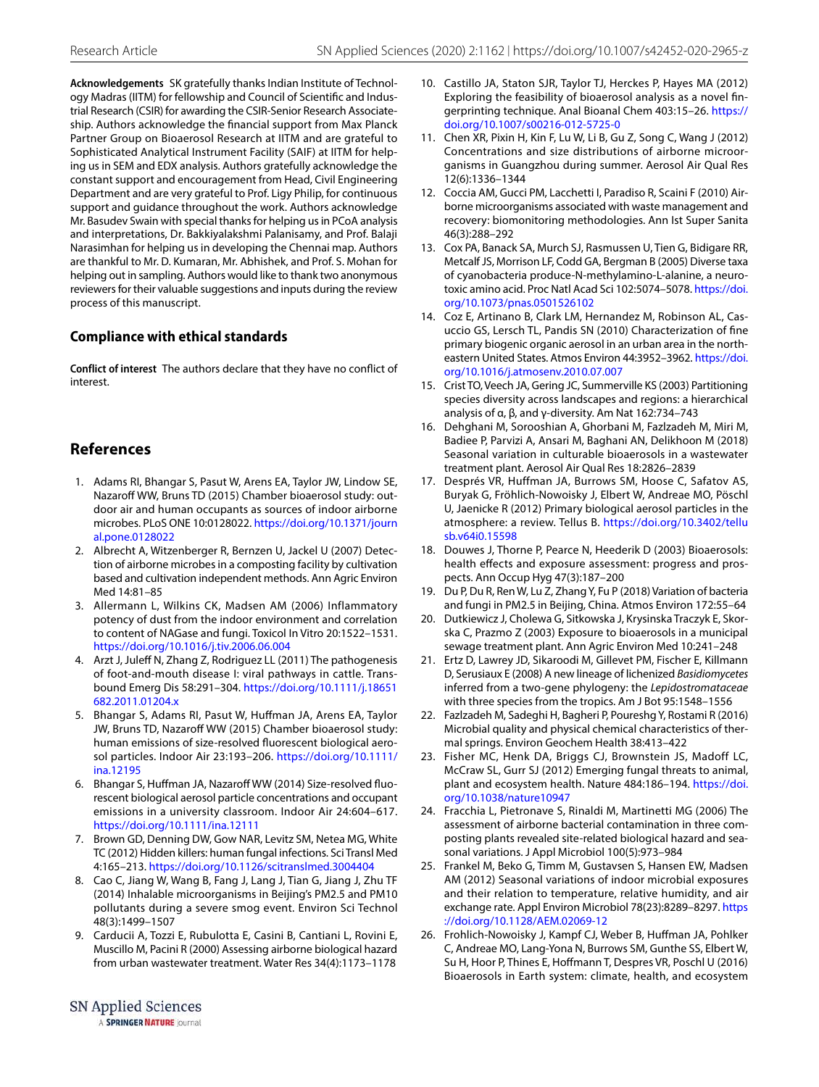**Acknowledgements** SK gratefully thanks Indian Institute of Technology Madras (IITM) for fellowship and Council of Scientific and Industrial Research (CSIR) for awarding the CSIR-Senior Research Associateship. Authors acknowledge the financial support from Max Planck Partner Group on Bioaerosol Research at IITM and are grateful to Sophisticated Analytical Instrument Facility (SAIF) at IITM for helping us in SEM and EDX analysis. Authors gratefully acknowledge the constant support and encouragement from Head, Civil Engineering Department and are very grateful to Prof. Ligy Philip, for continuous support and guidance throughout the work. Authors acknowledge Mr. Basudev Swain with special thanks for helping us in PCoA analysis and interpretations, Dr. Bakkiyalakshmi Palanisamy, and Prof. Balaji Narasimhan for helping us in developing the Chennai map. Authors are thankful to Mr. D. Kumaran, Mr. Abhishek, and Prof. S. Mohan for helping out in sampling. Authors would like to thank two anonymous reviewers for their valuable suggestions and inputs during the review process of this manuscript.

## **Compliance with ethical standards**

**Conflict of interest** The authors declare that they have no conflict of interest.

## **References**

- <span id="page-13-23"></span> 1. Adams RI, Bhangar S, Pasut W, Arens EA, Taylor JW, Lindow SE, Nazaroff WW, Bruns TD (2015) Chamber bioaerosol study: outdoor air and human occupants as sources of indoor airborne microbes. PLoS ONE 10:0128022. [https ://doi.org/10.1371/journ](https://doi.org/10.1371/journal.pone.0128022) al.pone.0128022
- <span id="page-13-14"></span> 2. Albrecht A, Witzenberger R, Bernzen U, Jackel U (2007) Detection of airborne microbes in a composting facility by cultivation based and cultivation independent methods. Ann Agric Environ Med 14:81–85
- <span id="page-13-21"></span> 3. Allermann L, Wilkins CK, Madsen AM (2006) Inflammatory potency of dust from the indoor environment and correlation to content of NAGase and fungi. Toxicol In Vitro 20:1522–1531. [https ://doi.org/10.1016/j.tiv.2006.06.004](https://doi.org/10.1016/j.tiv.2006.06.004)
- <span id="page-13-3"></span> 4. Arzt J, Juleff N, Zhang Z, Rodriguez LL (2011) The pathogenesis of foot-and-mouth disease I: viral pathways in cattle. Transbound Emerg Dis 58:291–304. [https ://doi.org/10.1111/j.18651](https://doi.org/10.1111/j.18651682.2011.01204.x) 682.2011.01204.x
- <span id="page-13-24"></span> 5. Bhangar S, Adams RI, Pasut W, Huffman JA, Arens EA, Taylor JW, Bruns TD, Nazaroff WW (2015) Chamber bioaerosol study: human emissions of size-resolved fluorescent biological aerosol particles. Indoor Air 23:193–206. [https ://doi.org/10.1111/](https://doi.org/10.1111/ina.12195) [ina.12195](https://doi.org/10.1111/ina.12195)
- <span id="page-13-25"></span> 6. Bhangar S, Huffman JA, Nazaroff WW (2014) Size-resolved fluorescent biological aerosol particle concentrations and occupant emissions in a university classroom. Indoor Air 24:604–617. [https ://doi.org/10.1111/ina.12111](https://doi.org/10.1111/ina.12111)
- <span id="page-13-4"></span> 7. Brown GD, Denning DW, Gow NAR, Levitz SM, Netea MG, White TC (2012) Hidden killers: human fungal infections. Sci Transl Med 4:165-213. https://doi.org/10.1126/scitranslmed.3004404
- <span id="page-13-13"></span> 8. Cao C, Jiang W, Wang B, Fang J, Lang J, Tian G, Jiang J, Zhu TF (2014) Inhalable microorganisms in Beijing's PM2.5 and PM10 pollutants during a severe smog event. Environ Sci Technol 48(3):1499–1507
- <span id="page-13-17"></span> 9. Carducii A, Tozzi E, Rubulotta E, Casini B, Cantiani L, Rovini E, Muscillo M, Pacini R (2000) Assessing airborne biological hazard from urban wastewater treatment. Water Res 34(4):1173–1178
- <span id="page-13-0"></span> 10. Castillo JA, Staton SJR, Taylor TJ, Herckes P, Hayes MA (2012) Exploring the feasibility of bioaerosol analysis as a novel fingerprinting technique. Anal Bioanal Chem 403:15-26. https:// doi.org/10.1007/s00216-012-5725-0
- <span id="page-13-10"></span> 11. Chen XR, Pixin H, Kin F, Lu W, Li B, Gu Z, Song C, Wang J (2012) Concentrations and size distributions of airborne microorganisms in Guangzhou during summer. Aerosol Air Qual Res 12(6):1336–1344
- <span id="page-13-16"></span> 12. Coccia AM, Gucci PM, Lacchetti I, Paradiso R, Scaini F (2010) Airborne microorganisms associated with waste management and recovery: biomonitoring methodologies. Ann Ist Super Sanita 46(3):288–292
- <span id="page-13-5"></span> 13. Cox PA, Banack SA, Murch SJ, Rasmussen U, Tien G, Bidigare RR, Metcalf JS, Morrison LF, Codd GA, Bergman B (2005) Diverse taxa of cyanobacteria produce-N-methylamino-L-alanine, a neurotoxic amino acid. Proc Natl Acad Sci 102:5074-5078. https://doi. [org/10.1073/pnas.05015 26102](https://doi.org/10.1073/pnas.0501526102)
- <span id="page-13-12"></span> 14. Coz E, Artinano B, Clark LM, Hernandez M, Robinson AL, Casuccio GS, Lersch TL, Pandis SN (2010) Characterization of fine primary biogenic organic aerosol in an urban area in the northeastern United States. Atmos Environ 44:3952-3962. https://doi. org/10.1016/j.atmosenv.2010.07.007
- <span id="page-13-8"></span> 15. Crist TO, Veech JA, Gering JC, Summerville KS (2003) Partitioning species diversity across landscapes and regions: a hierarchical analysis of α, β, and γ-diversity. Am Nat 162:734–743
- <span id="page-13-15"></span> 16. Dehghani M, Sorooshian A, Ghorbani M, Fazlzadeh M, Miri M, Badiee P, Parvizi A, Ansari M, Baghani AN, Delikhoon M (2018) Seasonal variation in culturable bioaerosols in a wastewater treatment plant. Aerosol Air Qual Res 18:2826–2839
- <span id="page-13-1"></span> 17. Després VR, Huffman JA, Burrows SM, Hoose C, Safatov AS, Buryak G, Fröhlich-Nowoisky J, Elbert W, Andreae MO, Pöschl U, Jaenicke R (2012) Primary biological aerosol particles in the atmosphere: a review. Tellus B. [https ://doi.org/10.3402/tellu](https://doi.org/10.3402/tellusb.v64i0.15598) [sb.v64i0 .15598](https://doi.org/10.3402/tellusb.v64i0.15598)
- <span id="page-13-18"></span> 18. Douwes J, Thorne P, Pearce N, Heederik D (2003) Bioaerosols: health effects and exposure assessment: progress and prospects. Ann Occup Hyg 47(3):187–200
- <span id="page-13-6"></span> 19. Du P, Du R, Ren W, Lu Z, Zhang Y, Fu P (2018) Variation of bacteria and fungi in PM2.5 in Beijing, China. Atmos Environ 172:55–64
- <span id="page-13-19"></span> 20. Dutkiewicz J, Cholewa G, Sitkowska J, Krysinska Traczyk E, Skorska C, Prazmo Z (2003) Exposure to bioaerosols in a municipal sewage treatment plant. Ann Agric Environ Med 10:241–248
- <span id="page-13-11"></span> 21. Ertz D, Lawrey JD, Sikaroodi M, Gillevet PM, Fischer E, Killmann D, Serusiaux E (2008) A new lineage of lichenized Basidiomycetes inferred from a two-gene phylogeny: the Lepidostromataceae with three species from the tropics. Am J Bot 95:1548–1556
- <span id="page-13-20"></span> 22. Fazlzadeh M, Sadeghi H, Bagheri P, Poureshg Y, Rostami R (2016) Microbial quality and physical chemical characteristics of thermal springs. Environ Geochem Health 38:413–422
- <span id="page-13-9"></span> 23. Fisher MC, Henk DA, Briggs CJ, Brownstein JS, Madoff LC, McCraw SL, Gurr SJ (2012) Emerging fungal threats to animal, plant and ecosystem health. Nature 484:186-194. https://doi. org/10.1038/nature 10947
- <span id="page-13-7"></span> 24. Fracchia L, Pietronave S, Rinaldi M, Martinetti MG (2006) The assessment of airborne bacterial contamination in three composting plants revealed site-related biological hazard and seasonal variations. J Appl Microbiol 100(5):973–984
- <span id="page-13-22"></span> 25. Frankel M, Beko G, Timm M, Gustavsen S, Hansen EW, Madsen AM (2012) Seasonal variations of indoor microbial exposures and their relation to temperature, relative humidity, and air exchange rate. Appl Environ Microbiol 78(23):8289-8297. [https](https://doi.org/10.1128/AEM.02069-12) [://doi.org/10.1128/AEM.02069 -12](https://doi.org/10.1128/AEM.02069-12)
- <span id="page-13-2"></span> 26. Frohlich-Nowoisky J, Kampf CJ, Weber B, Huffman JA, Pohlker C, Andreae MO, Lang-Yona N, Burrows SM, Gunthe SS, Elbert W, Su H, Hoor P, Thines E, Hoffmann T, Despres VR, Poschl U (2016) Bioaerosols in Earth system: climate, health, and ecosystem

A SPRINGER NATURE journal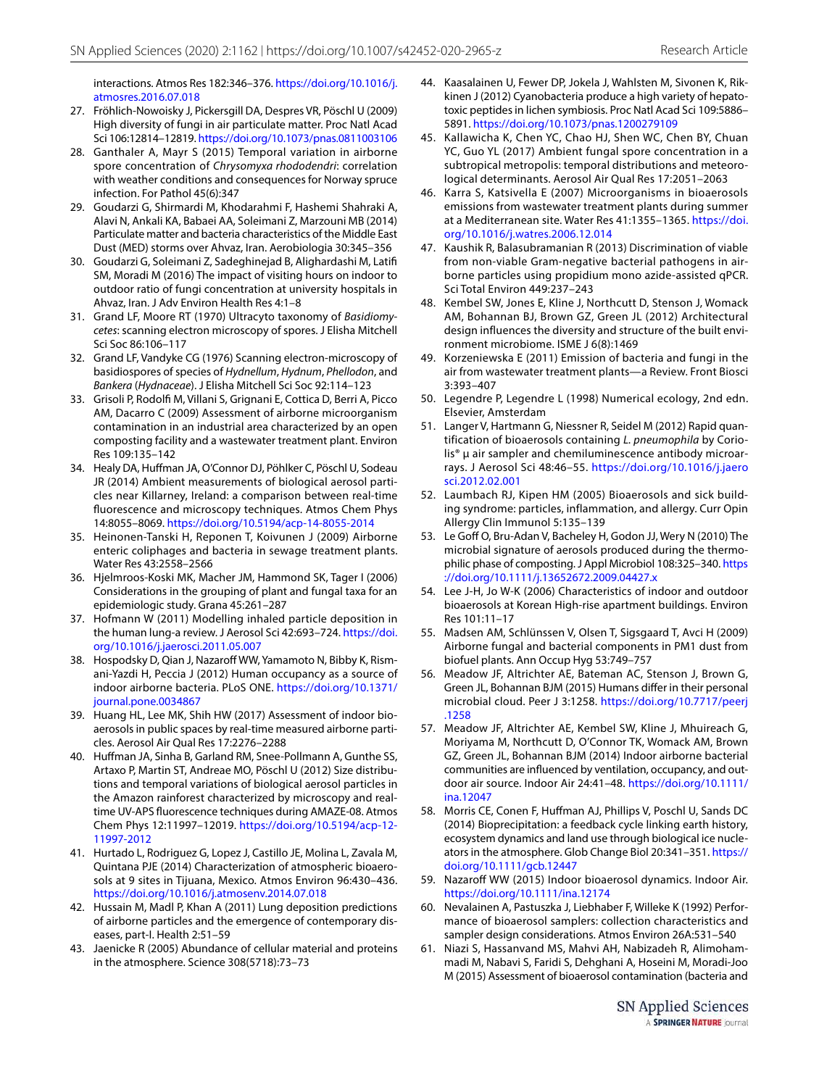interactions. Atmos Res 182:346-376. https://doi.org/10.1016/j. [atmos res.2016.07.018](https://doi.org/10.1016/j.atmosres.2016.07.018)

- <span id="page-14-12"></span> 27. Fröhlich-Nowoisky J, Pickersgill DA, Despres VR, Pöschl U (2009) High diversity of fungi in air particulate matter. Proc Natl Acad Sci 106:12814-12819. https://doi.org/10.1073/pnas.0811003106
- <span id="page-14-13"></span> 28. Ganthaler A, Mayr S (2015) Temporal variation in airborne spore concentration of Chrysomyxa rhododendri: correlation with weather conditions and consequences for Norway spruce infection. For Pathol 45(6):347
- <span id="page-14-24"></span> 29. Goudarzi G, Shirmardi M, Khodarahmi F, Hashemi Shahraki A, Alavi N, Ankali KA, Babaei AA, Soleimani Z, Marzouni MB (2014) Particulate matter and bacteria characteristics of the Middle East Dust (MED) storms over Ahvaz, Iran. Aerobiologia 30:345–356
- <span id="page-14-26"></span> 30. Goudarzi G, Soleimani Z, Sadeghinejad B, Alighardashi M, Latifi SM, Moradi M (2016) The impact of visiting hours on indoor to outdoor ratio of fungi concentration at university hospitals in Ahvaz, Iran. J Adv Environ Health Res 4:1–8
- <span id="page-14-18"></span> 31. Grand LF, Moore RT (1970) Ultracyto taxonomy of Basidiomycetes: scanning electron microscopy of spores. J Elisha Mitchell Sci Soc 86:106–117
- <span id="page-14-19"></span> 32. Grand LF, Vandyke CG (1976) Scanning electron-microscopy of basidiospores of species of Hydnellum, Hydnum, Phellodon, and Bankera (Hydnaceae). J Elisha Mitchell Sci Soc 92:114–123
- <span id="page-14-27"></span> 33. Grisoli P, Rodolfi M, Villani S, Grignani E, Cottica D, Berri A, Picco AM, Dacarro C (2009) Assessment of airborne microorganism contamination in an industrial area characterized by an open composting facility and a wastewater treatment plant. Environ Res 109:135–142
- <span id="page-14-17"></span> 34. Healy DA, Huffman JA, O'Connor DJ, Pöhlker C, Pöschl U, Sodeau JR (2014) Ambient measurements of biological aerosol particles near Killarney, Ireland: a comparison between real-time fluorescence and microscopy techniques. Atmos Chem Phys 14:8055–8069. [https ://doi.org/10.5194/acp-14-8055-2014](https://doi.org/10.5194/acp-14-8055-2014)
- <span id="page-14-30"></span> 35. Heinonen-Tanski H, Reponen T, Koivunen J (2009) Airborne enteric coliphages and bacteria in sewage treatment plants. Water Res 43:2558–2566
- <span id="page-14-15"></span> 36. Hjelmroos-Koski MK, Macher JM, Hammond SK, Tager I (2006) Considerations in the grouping of plant and fungal taxa for an epidemiologic study. Grana 45:261–287
- <span id="page-14-5"></span> 37. Hofmann W (2011) Modelling inhaled particle deposition in the human lung-a review. J Aerosol Sci 42:693-724. https://doi. org/10.1016/j.jaerosci.2011.05.007
- <span id="page-14-22"></span> 38. Hospodsky D, Qian J, Nazaroff WW, Yamamoto N, Bibby K, Rismani-Yazdi H, Peccia J (2012) Human occupancy as a source of indoor airborne bacteria. PLoS ONE. [https ://doi.org/10.1371/](https://doi.org/10.1371/journal.pone.0034867) journal.pone.0034867
- <span id="page-14-32"></span> 39. Huang HL, Lee MK, Shih HW (2017) Assessment of indoor bioaerosols in public spaces by real-time measured airborne particles. Aerosol Air Qual Res 17:2276–2288
- <span id="page-14-16"></span> 40. Huffman JA, Sinha B, Garland RM, Snee-Pollmann A, Gunthe SS, Artaxo P, Martin ST, Andreae MO, Pöschl U (2012) Size distributions and temporal variations of biological aerosol particles in the Amazon rainforest characterized by microscopy and realtime UV-APS fluorescence techniques during AMAZE-08. Atmos Chem Phys 12:11997–12019. [https ://doi.org/10.5194/acp-12-](https://doi.org/10.5194/acp-12-11997-2012) [11997 -2012](https://doi.org/10.5194/acp-12-11997-2012)
- <span id="page-14-2"></span> 41. Hurtado L, Rodriguez G, Lopez J, Castillo JE, Molina L, Zavala M, Quintana PJE (2014) Characterization of atmospheric bioaerosols at 9 sites in Tijuana, Mexico. Atmos Environ 96:430–436. https://doi.org/10.1016/j.atmosenv.2014.07.018
- <span id="page-14-6"></span> 42. Hussain M, Madl P, Khan A (2011) Lung deposition predictions of airborne particles and the emergence of contemporary diseases, part-I. Health 2:51–59
- <span id="page-14-1"></span> 43. Jaenicke R (2005) Abundance of cellular material and proteins in the atmosphere. Science 308(5718):73–73
- <span id="page-14-4"></span> 44. Kaasalainen U, Fewer DP, Jokela J, Wahlsten M, Sivonen K, Rikkinen J (2012) Cyanobacteria produce a high variety of hepatotoxic peptides in lichen symbiosis. Proc Natl Acad Sci 109:5886– 5891. https://doi.org/10.1073/pnas.1200279109
- <span id="page-14-8"></span> 45. Kallawicha K, Chen YC, Chao HJ, Shen WC, Chen BY, Chuan YC, Guo YL (2017) Ambient fungal spore concentration in a subtropical metropolis: temporal distributions and meteorological determinants. Aerosol Air Qual Res 17:2051–2063
- <span id="page-14-21"></span> 46. Karra S, Katsivella E (2007) Microorganisms in bioaerosols emissions from wastewater treatment plants during summer at a Mediterranean site. Water Res 41:1355-1365. https://doi. org/10.1016/j.watres.2006.12.014
- <span id="page-14-23"></span> 47. Kaushik R, Balasubramanian R (2013) Discrimination of viable from non-viable Gram-negative bacterial pathogens in airborne particles using propidium mono azide-assisted qPCR. Sci Total Environ 449:237–243
- <span id="page-14-14"></span> 48. Kembel SW, Jones E, Kline J, Northcutt D, Stenson J, Womack AM, Bohannan BJ, Brown GZ, Green JL (2012) Architectural design influences the diversity and structure of the built environment microbiome. ISME J 6(8):1469
- <span id="page-14-31"></span> 49. Korzeniewska E (2011) Emission of bacteria and fungi in the air from wastewater treatment plants—a Review. Front Biosci 3:393–407
- <span id="page-14-11"></span> 50. Legendre P, Legendre L (1998) Numerical ecology, 2nd edn. Elsevier, Amsterdam
- <span id="page-14-3"></span> 51. Langer V, Hartmann G, Niessner R, Seidel M (2012) Rapid quantification of bioaerosols containing L. pneumophila by Coriolis<sup>®</sup> μ air sampler and chemiluminescence antibody microarrays. J Aerosol Sci 48:46-55. https://doi.org/10.1016/j.jaero [sci.2012.02.001](https://doi.org/10.1016/j.jaerosci.2012.02.001)
- <span id="page-14-28"></span> 52. Laumbach RJ, Kipen HM (2005) Bioaerosols and sick building syndrome: particles, inflammation, and allergy. Curr Opin Allergy Clin Immunol 5:135–139
- <span id="page-14-20"></span> 53. Le Goff O, Bru-Adan V, Bacheley H, Godon JJ, Wery N (2010) The microbial signature of aerosols produced during the thermophilic phase of composting. J Appl Microbiol 108:325–340. [https](https://doi.org/10.1111/j.13652672.2009.04427.x) ://doi.org/10.1111/j.13652672.2009.04427.x
- <span id="page-14-9"></span> 54. Lee J-H, Jo W-K (2006) Characteristics of indoor and outdoor bioaerosols at Korean High-rise apartment buildings. Environ Res 101:11–17
- <span id="page-14-29"></span> 55. Madsen AM, Schlünssen V, Olsen T, Sigsgaard T, Avci H (2009) Airborne fungal and bacterial components in PM1 dust from biofuel plants. Ann Occup Hyg 53:749–757
- <span id="page-14-33"></span> 56. Meadow JF, Altrichter AE, Bateman AC, Stenson J, Brown G, Green JL, Bohannan BJM (2015) Humans differ in their personal microbial cloud. Peer J 3:1258. [https ://doi.org/10.7717/peerj](https://doi.org/10.7717/peerj.1258) [.1258](https://doi.org/10.7717/peerj.1258)
- <span id="page-14-34"></span> 57. Meadow JF, Altrichter AE, Kembel SW, Kline J, Mhuireach G, Moriyama M, Northcutt D, O'Connor TK, Womack AM, Brown GZ, Green JL, Bohannan BJM (2014) Indoor airborne bacterial communities are influenced by ventilation, occupancy, and outdoor air source. Indoor Air 24:41-48. https://doi.org/10.1111/ [ina.12047](https://doi.org/10.1111/ina.12047)
- <span id="page-14-0"></span> 58. Morris CE, Conen F, Huffman AJ, Phillips V, Poschl U, Sands DC (2014) Bioprecipitation: a feedback cycle linking earth history, ecosystem dynamics and land use through biological ice nucleators in the atmosphere. Glob Change Biol 20:341-351. https:// [doi.org/10.1111/gcb.12447](https://doi.org/10.1111/gcb.12447)
- <span id="page-14-7"></span> 59. Nazaroff WW (2015) Indoor bioaerosol dynamics. Indoor Air. [https ://doi.org/10.1111/ina.12174](https://doi.org/10.1111/ina.12174)
- <span id="page-14-10"></span> 60. Nevalainen A, Pastuszka J, Liebhaber F, Willeke K (1992) Performance of bioaerosol samplers: collection characteristics and sampler design considerations. Atmos Environ 26A:531–540
- <span id="page-14-25"></span> 61. Niazi S, Hassanvand MS, Mahvi AH, Nabizadeh R, Alimohammadi M, Nabavi S, Faridi S, Dehghani A, Hoseini M, Moradi-Joo M (2015) Assessment of bioaerosol contamination (bacteria and

SN Applied Sciences A SPRINGER NATURE journal